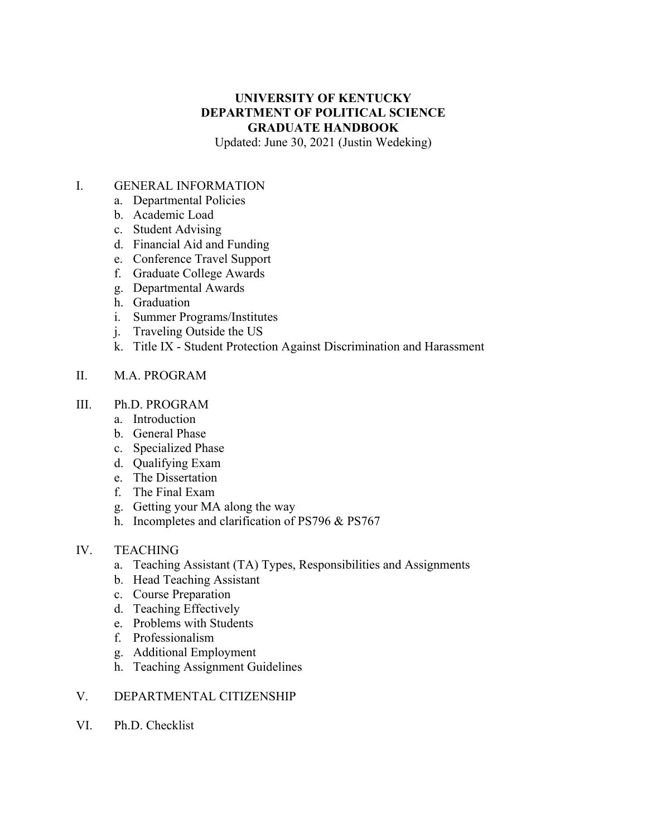# **UNIVERSITY OF KENTUCKY DEPARTMENT OF POLITICAL SCIENCE GRADUATE HANDBOOK**

Updated: June 30, 2021 (Justin Wedeking)

#### I. GENERAL INFORMATION

- a. Departmental Policies
- b. Academic Load
- c. Student Advising
- d. Financial Aid and Funding
- e. Conference Travel Support
- f. Graduate College Awards
- g. Departmental Awards
- h. Graduation
- i. Summer Programs/Institutes
- j. Traveling Outside the US
- k. Title IX Student Protection Against Discrimination and Harassment

### II. M.A. PROGRAM

#### III. Ph.D. PROGRAM

- a. Introduction
- b. General Phase
- c. Specialized Phase
- d. Qualifying Exam
- e. The Dissertation
- f. The Final Exam
- g. Getting your MA along the way
- h. Incompletes and clarification of PS796 & PS767

#### IV. TEACHING

- a. Teaching Assistant (TA) Types, Responsibilities and Assignments
- b. Head Teaching Assistant
- c. Course Preparation
- d. Teaching Effectively
- e. Problems with Students
- f. Professionalism
- g. Additional Employment
- h. Teaching Assignment Guidelines

#### V. DEPARTMENTAL CITIZENSHIP

VI. Ph.D. Checklist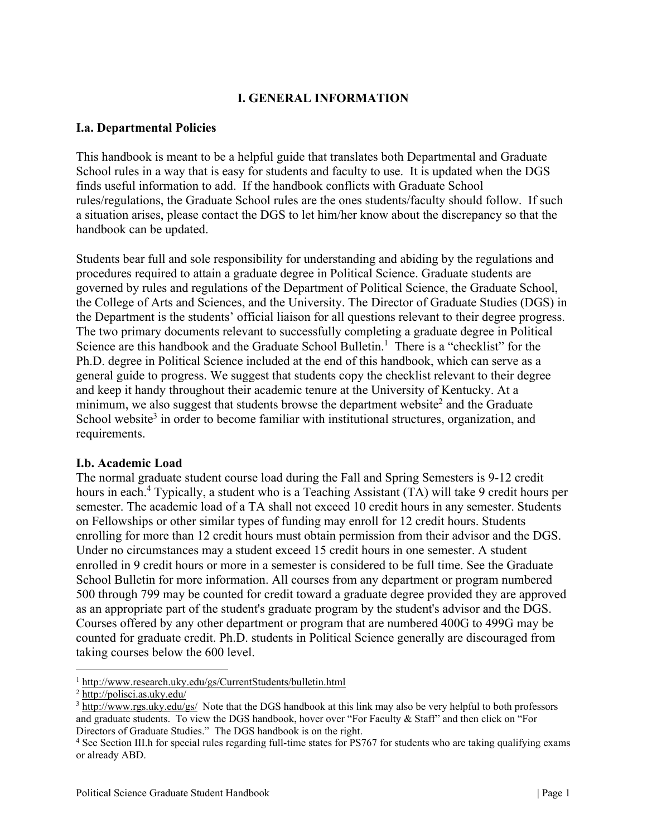# **I. GENERAL INFORMATION**

### **I.a. Departmental Policies**

This handbook is meant to be a helpful guide that translates both Departmental and Graduate School rules in a way that is easy for students and faculty to use. It is updated when the DGS finds useful information to add. If the handbook conflicts with Graduate School rules/regulations, the Graduate School rules are the ones students/faculty should follow. If such a situation arises, please contact the DGS to let him/her know about the discrepancy so that the handbook can be updated.

Students bear full and sole responsibility for understanding and abiding by the regulations and procedures required to attain a graduate degree in Political Science. Graduate students are governed by rules and regulations of the Department of Political Science, the Graduate School, the College of Arts and Sciences, and the University. The Director of Graduate Studies (DGS) in the Department is the students' official liaison for all questions relevant to their degree progress. The two primary documents relevant to successfully completing a graduate degree in Political Science are this handbook and the Graduate School Bulletin.<sup>1</sup> There is a "checklist" for the Ph.D. degree in Political Science included at the end of this handbook, which can serve as a general guide to progress. We suggest that students copy the checklist relevant to their degree and keep it handy throughout their academic tenure at the University of Kentucky. At a minimum, we also suggest that students browse the department website<sup>2</sup> and the Graduate School website<sup>3</sup> in order to become familiar with institutional structures, organization, and requirements.

#### **I.b. Academic Load**

The normal graduate student course load during the Fall and Spring Semesters is 9-12 credit hours in each.<sup>4</sup> Typically, a student who is a Teaching Assistant (TA) will take 9 credit hours per semester. The academic load of a TA shall not exceed 10 credit hours in any semester. Students on Fellowships or other similar types of funding may enroll for 12 credit hours. Students enrolling for more than 12 credit hours must obtain permission from their advisor and the DGS. Under no circumstances may a student exceed 15 credit hours in one semester. A student enrolled in 9 credit hours or more in a semester is considered to be full time. See the Graduate School Bulletin for more information. All courses from any department or program numbered 500 through 799 may be counted for credit toward a graduate degree provided they are approved as an appropriate part of the student's graduate program by the student's advisor and the DGS. Courses offered by any other department or program that are numbered 400G to 499G may be counted for graduate credit. Ph.D. students in Political Science generally are discouraged from taking courses below the 600 level.

 $\frac{1 \text{ http://www.research.uky.edu/gs/CurrentStudents/bulletin.html}}{2 \text{ http://noliciesi as uky.edu/gs/CurrentStudents/bulletin.html}}$ 

 $\frac{2 \text{ http://polisci.as.uky.edu/}}{}$ 

 $3 \frac{\text{http://www.rgs.uky.edu/gs/}}{\text{http://www.rgs.uky.edu/gs/}}$  Note that the DGS handbook at this link may also be very helpful to both professors and graduate students. To view the DGS handbook, hover over "For Faculty & Staff" and then click on "For Directors of Graduate Studies." The DGS handbook is on the right.

<sup>4</sup> See Section III.h for special rules regarding full-time states for PS767 for students who are taking qualifying exams or already ABD.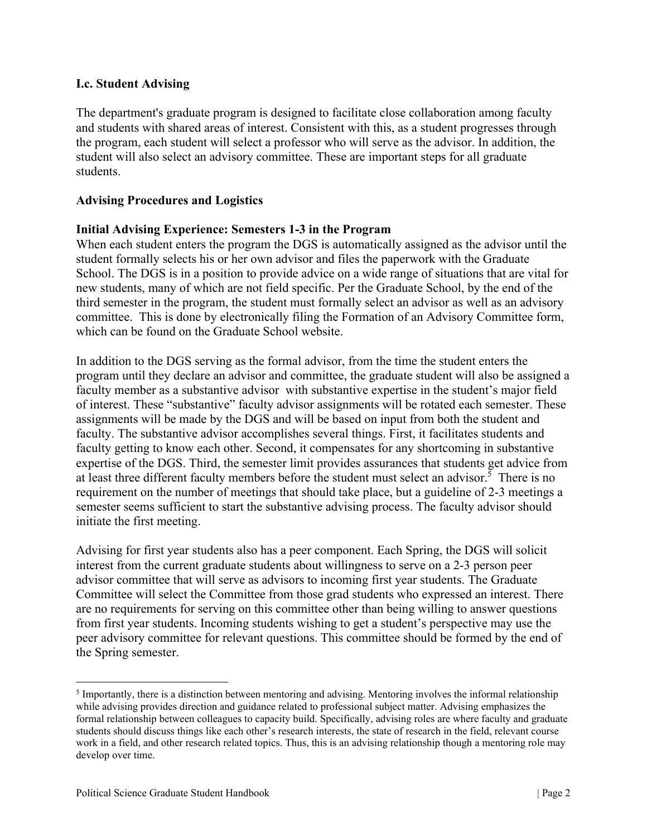#### **I.c. Student Advising**

The department's graduate program is designed to facilitate close collaboration among faculty and students with shared areas of interest. Consistent with this, as a student progresses through the program, each student will select a professor who will serve as the advisor. In addition, the student will also select an advisory committee. These are important steps for all graduate students.

#### **Advising Procedures and Logistics**

### **Initial Advising Experience: Semesters 1-3 in the Program**

When each student enters the program the DGS is automatically assigned as the advisor until the student formally selects his or her own advisor and files the paperwork with the Graduate School. The DGS is in a position to provide advice on a wide range of situations that are vital for new students, many of which are not field specific. Per the Graduate School, by the end of the third semester in the program, the student must formally select an advisor as well as an advisory committee. This is done by electronically filing the Formation of an Advisory Committee form, which can be found on the Graduate School website.

In addition to the DGS serving as the formal advisor, from the time the student enters the program until they declare an advisor and committee, the graduate student will also be assigned a faculty member as a substantive advisor with substantive expertise in the student's major field of interest. These "substantive" faculty advisor assignments will be rotated each semester. These assignments will be made by the DGS and will be based on input from both the student and faculty. The substantive advisor accomplishes several things. First, it facilitates students and faculty getting to know each other. Second, it compensates for any shortcoming in substantive expertise of the DGS. Third, the semester limit provides assurances that students get advice from at least three different faculty members before the student must select an advisor.<sup>5</sup> There is no requirement on the number of meetings that should take place, but a guideline of 2-3 meetings a semester seems sufficient to start the substantive advising process. The faculty advisor should initiate the first meeting.

Advising for first year students also has a peer component. Each Spring, the DGS will solicit interest from the current graduate students about willingness to serve on a 2-3 person peer advisor committee that will serve as advisors to incoming first year students. The Graduate Committee will select the Committee from those grad students who expressed an interest. There are no requirements for serving on this committee other than being willing to answer questions from first year students. Incoming students wishing to get a student's perspective may use the peer advisory committee for relevant questions. This committee should be formed by the end of the Spring semester.

<sup>&</sup>lt;sup>5</sup> Importantly, there is a distinction between mentoring and advising. Mentoring involves the informal relationship while advising provides direction and guidance related to professional subject matter. Advising emphasizes the formal relationship between colleagues to capacity build. Specifically, advising roles are where faculty and graduate students should discuss things like each other's research interests, the state of research in the field, relevant course work in a field, and other research related topics. Thus, this is an advising relationship though a mentoring role may develop over time.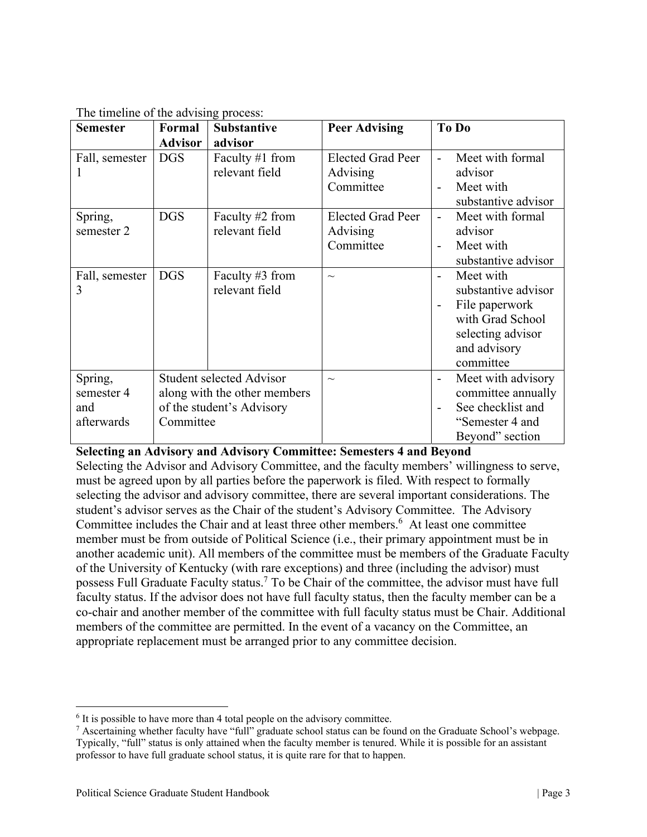| <b>Semester</b> | Formal                          | <b>Substantive</b>           | <b>Peer Advising</b>     | To Do                                 |
|-----------------|---------------------------------|------------------------------|--------------------------|---------------------------------------|
|                 | <b>Advisor</b>                  | advisor                      |                          |                                       |
| Fall, semester  | <b>DGS</b>                      | Faculty #1 from              | <b>Elected Grad Peer</b> | Meet with formal                      |
|                 |                                 | relevant field               | Advising                 | advisor                               |
|                 |                                 |                              | Committee                | Meet with                             |
|                 |                                 |                              |                          | substantive advisor                   |
| Spring,         | <b>DGS</b>                      | Faculty #2 from              | <b>Elected Grad Peer</b> | Meet with formal<br>$\overline{a}$    |
| semester 2      |                                 | relevant field               | Advising                 | advisor                               |
|                 |                                 |                              | Committee                | Meet with<br>$\blacksquare$           |
|                 |                                 |                              |                          | substantive advisor                   |
| Fall, semester  | <b>DGS</b>                      | Faculty #3 from              | $\sim\,$                 | Meet with<br>$\overline{\phantom{a}}$ |
| 3               |                                 | relevant field               |                          | substantive advisor                   |
|                 |                                 |                              |                          | File paperwork                        |
|                 |                                 |                              |                          | with Grad School                      |
|                 |                                 |                              |                          | selecting advisor                     |
|                 |                                 |                              |                          | and advisory                          |
|                 |                                 |                              |                          | committee                             |
| Spring,         | <b>Student selected Advisor</b> |                              | $\sim$                   | Meet with advisory                    |
| semester 4      |                                 | along with the other members |                          | committee annually                    |
| and             |                                 | of the student's Advisory    |                          | See checklist and                     |
| afterwards      | Committee                       |                              |                          | "Semester 4 and                       |
|                 |                                 |                              |                          | Beyond" section                       |

The timeline of the advising process:

#### **Selecting an Advisory and Advisory Committee: Semesters 4 and Beyond**

Selecting the Advisor and Advisory Committee, and the faculty members' willingness to serve, must be agreed upon by all parties before the paperwork is filed. With respect to formally selecting the advisor and advisory committee, there are several important considerations. The student's advisor serves as the Chair of the student's Advisory Committee. The Advisory Committee includes the Chair and at least three other members.<sup>6</sup> At least one committee member must be from outside of Political Science (i.e., their primary appointment must be in another academic unit). All members of the committee must be members of the Graduate Faculty of the University of Kentucky (with rare exceptions) and three (including the advisor) must possess Full Graduate Faculty status.<sup>7</sup> To be Chair of the committee, the advisor must have full faculty status. If the advisor does not have full faculty status, then the faculty member can be a co-chair and another member of the committee with full faculty status must be Chair. Additional members of the committee are permitted. In the event of a vacancy on the Committee, an appropriate replacement must be arranged prior to any committee decision.

<sup>&</sup>lt;sup>6</sup> It is possible to have more than 4 total people on the advisory committee.

 $7$  Ascertaining whether faculty have "full" graduate school status can be found on the Graduate School's webpage. Typically, "full" status is only attained when the faculty member is tenured. While it is possible for an assistant professor to have full graduate school status, it is quite rare for that to happen.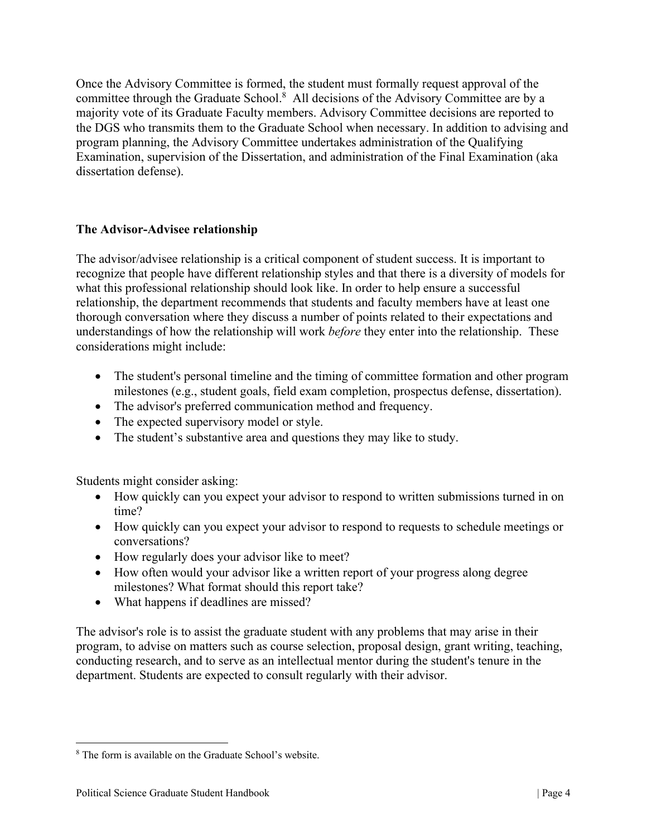Once the Advisory Committee is formed, the student must formally request approval of the committee through the Graduate School.<sup>8</sup> All decisions of the Advisory Committee are by a majority vote of its Graduate Faculty members. Advisory Committee decisions are reported to the DGS who transmits them to the Graduate School when necessary. In addition to advising and program planning, the Advisory Committee undertakes administration of the Qualifying Examination, supervision of the Dissertation, and administration of the Final Examination (aka dissertation defense).

# **The Advisor-Advisee relationship**

The advisor/advisee relationship is a critical component of student success. It is important to recognize that people have different relationship styles and that there is a diversity of models for what this professional relationship should look like. In order to help ensure a successful relationship, the department recommends that students and faculty members have at least one thorough conversation where they discuss a number of points related to their expectations and understandings of how the relationship will work *before* they enter into the relationship. These considerations might include:

- The student's personal timeline and the timing of committee formation and other program milestones (e.g., student goals, field exam completion, prospectus defense, dissertation).
- The advisor's preferred communication method and frequency.
- The expected supervisory model or style.
- The student's substantive area and questions they may like to study.

Students might consider asking:

- How quickly can you expect your advisor to respond to written submissions turned in on time?
- How quickly can you expect your advisor to respond to requests to schedule meetings or conversations?
- How regularly does your advisor like to meet?
- How often would your advisor like a written report of your progress along degree milestones? What format should this report take?
- What happens if deadlines are missed?

The advisor's role is to assist the graduate student with any problems that may arise in their program, to advise on matters such as course selection, proposal design, grant writing, teaching, conducting research, and to serve as an intellectual mentor during the student's tenure in the department. Students are expected to consult regularly with their advisor.

<sup>8</sup> The form is available on the Graduate School's website.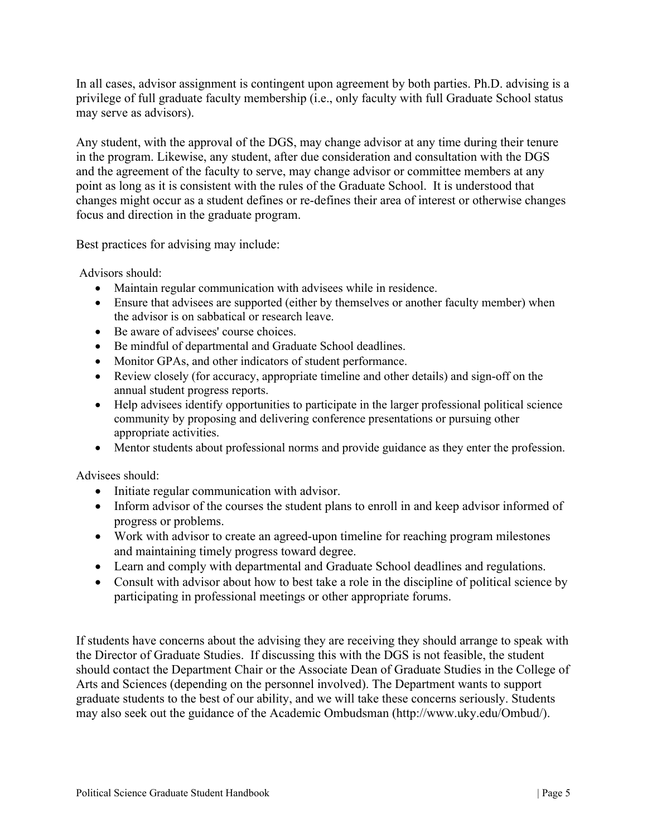In all cases, advisor assignment is contingent upon agreement by both parties. Ph.D. advising is a privilege of full graduate faculty membership (i.e., only faculty with full Graduate School status may serve as advisors).

Any student, with the approval of the DGS, may change advisor at any time during their tenure in the program. Likewise, any student, after due consideration and consultation with the DGS and the agreement of the faculty to serve, may change advisor or committee members at any point as long as it is consistent with the rules of the Graduate School. It is understood that changes might occur as a student defines or re-defines their area of interest or otherwise changes focus and direction in the graduate program.

Best practices for advising may include:

Advisors should:

- Maintain regular communication with advisees while in residence.
- Ensure that advisees are supported (either by themselves or another faculty member) when the advisor is on sabbatical or research leave.
- Be aware of advisees' course choices.
- Be mindful of departmental and Graduate School deadlines.
- Monitor GPAs, and other indicators of student performance.
- Review closely (for accuracy, appropriate timeline and other details) and sign-off on the annual student progress reports.
- Help advisees identify opportunities to participate in the larger professional political science community by proposing and delivering conference presentations or pursuing other appropriate activities.
- Mentor students about professional norms and provide guidance as they enter the profession.

Advisees should:

- Initiate regular communication with advisor.
- Inform advisor of the courses the student plans to enroll in and keep advisor informed of progress or problems.
- Work with advisor to create an agreed-upon timeline for reaching program milestones and maintaining timely progress toward degree.
- Learn and comply with departmental and Graduate School deadlines and regulations.
- Consult with advisor about how to best take a role in the discipline of political science by participating in professional meetings or other appropriate forums.

If students have concerns about the advising they are receiving they should arrange to speak with the Director of Graduate Studies. If discussing this with the DGS is not feasible, the student should contact the Department Chair or the Associate Dean of Graduate Studies in the College of Arts and Sciences (depending on the personnel involved). The Department wants to support graduate students to the best of our ability, and we will take these concerns seriously. Students may also seek out the guidance of the Academic Ombudsman (http://www.uky.edu/Ombud/).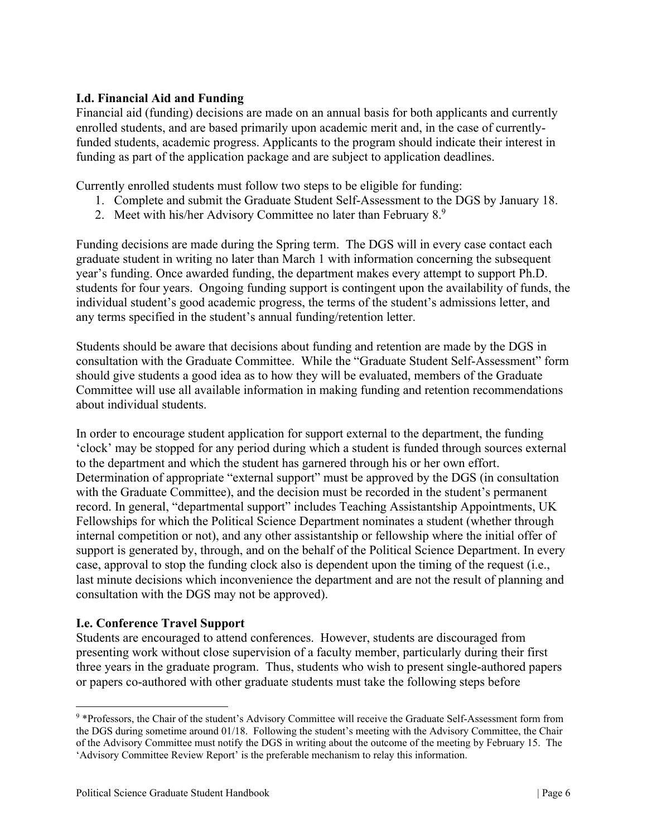# **I.d. Financial Aid and Funding**

Financial aid (funding) decisions are made on an annual basis for both applicants and currently enrolled students, and are based primarily upon academic merit and, in the case of currentlyfunded students, academic progress. Applicants to the program should indicate their interest in funding as part of the application package and are subject to application deadlines.

Currently enrolled students must follow two steps to be eligible for funding:

- 1. Complete and submit the Graduate Student Self-Assessment to the DGS by January 18.
- 2. Meet with his/her Advisory Committee no later than February  $8.9$

Funding decisions are made during the Spring term. The DGS will in every case contact each graduate student in writing no later than March 1 with information concerning the subsequent year's funding. Once awarded funding, the department makes every attempt to support Ph.D. students for four years. Ongoing funding support is contingent upon the availability of funds, the individual student's good academic progress, the terms of the student's admissions letter, and any terms specified in the student's annual funding/retention letter.

Students should be aware that decisions about funding and retention are made by the DGS in consultation with the Graduate Committee. While the "Graduate Student Self-Assessment" form should give students a good idea as to how they will be evaluated, members of the Graduate Committee will use all available information in making funding and retention recommendations about individual students.

In order to encourage student application for support external to the department, the funding 'clock' may be stopped for any period during which a student is funded through sources external to the department and which the student has garnered through his or her own effort. Determination of appropriate "external support" must be approved by the DGS (in consultation with the Graduate Committee), and the decision must be recorded in the student's permanent record. In general, "departmental support" includes Teaching Assistantship Appointments, UK Fellowships for which the Political Science Department nominates a student (whether through internal competition or not), and any other assistantship or fellowship where the initial offer of support is generated by, through, and on the behalf of the Political Science Department. In every case, approval to stop the funding clock also is dependent upon the timing of the request (i.e., last minute decisions which inconvenience the department and are not the result of planning and consultation with the DGS may not be approved).

#### **I.e. Conference Travel Support**

Students are encouraged to attend conferences. However, students are discouraged from presenting work without close supervision of a faculty member, particularly during their first three years in the graduate program. Thus, students who wish to present single-authored papers or papers co-authored with other graduate students must take the following steps before

<sup>9</sup> \*Professors, the Chair of the student's Advisory Committee will receive the Graduate Self-Assessment form from the DGS during sometime around 01/18. Following the student's meeting with the Advisory Committee, the Chair of the Advisory Committee must notify the DGS in writing about the outcome of the meeting by February 15. The 'Advisory Committee Review Report' is the preferable mechanism to relay this information.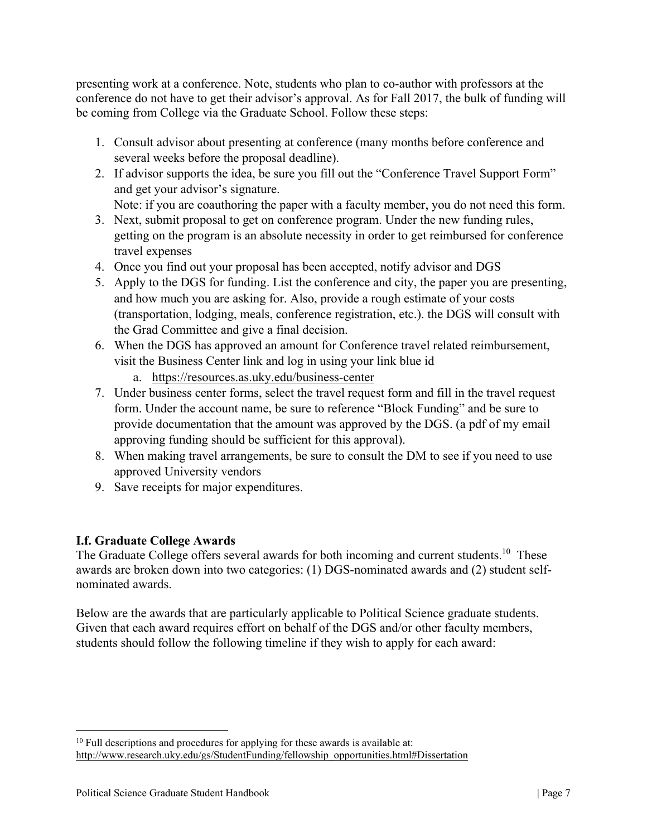presenting work at a conference. Note, students who plan to co-author with professors at the conference do not have to get their advisor's approval. As for Fall 2017, the bulk of funding will be coming from College via the Graduate School. Follow these steps:

- 1. Consult advisor about presenting at conference (many months before conference and several weeks before the proposal deadline).
- 2. If advisor supports the idea, be sure you fill out the "Conference Travel Support Form" and get your advisor's signature.
- Note: if you are coauthoring the paper with a faculty member, you do not need this form. 3. Next, submit proposal to get on conference program. Under the new funding rules, getting on the program is an absolute necessity in order to get reimbursed for conference travel expenses
- 4. Once you find out your proposal has been accepted, notify advisor and DGS
- 5. Apply to the DGS for funding. List the conference and city, the paper you are presenting, and how much you are asking for. Also, provide a rough estimate of your costs (transportation, lodging, meals, conference registration, etc.). the DGS will consult with the Grad Committee and give a final decision.
- 6. When the DGS has approved an amount for Conference travel related reimbursement, visit the Business Center link and log in using your link blue id
	- a. https://resources.as.uky.edu/business-center
- 7. Under business center forms, select the travel request form and fill in the travel request form. Under the account name, be sure to reference "Block Funding" and be sure to provide documentation that the amount was approved by the DGS. (a pdf of my email approving funding should be sufficient for this approval).
- 8. When making travel arrangements, be sure to consult the DM to see if you need to use approved University vendors
- 9. Save receipts for major expenditures.

# **I.f. Graduate College Awards**

The Graduate College offers several awards for both incoming and current students.<sup>10</sup> These awards are broken down into two categories: (1) DGS-nominated awards and (2) student selfnominated awards.

Below are the awards that are particularly applicable to Political Science graduate students. Given that each award requires effort on behalf of the DGS and/or other faculty members, students should follow the following timeline if they wish to apply for each award:

 $10$  Full descriptions and procedures for applying for these awards is available at: http://www.research.uky.edu/gs/StudentFunding/fellowship\_opportunities.html#Dissertation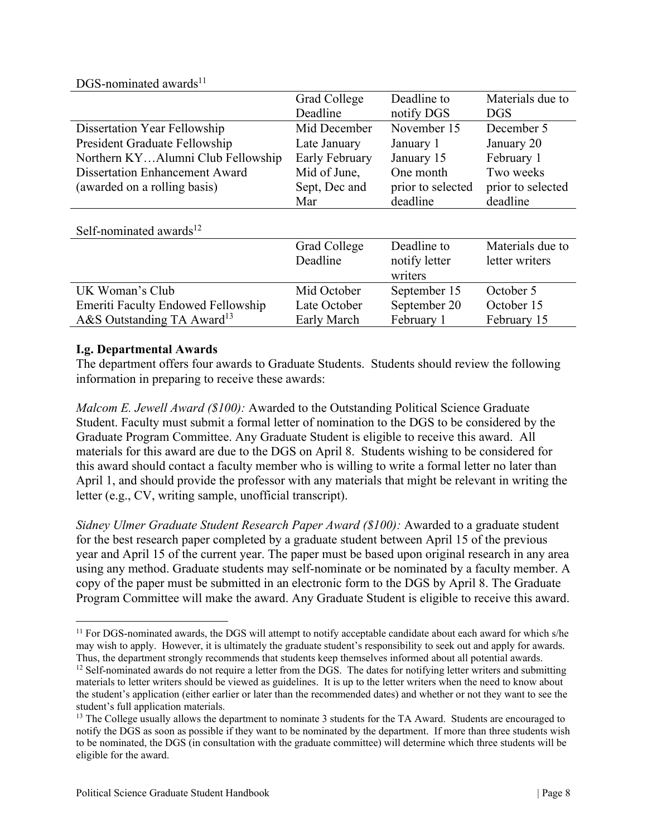| DGS-nominated awards <sup>11</sup>        |                |                   |                   |
|-------------------------------------------|----------------|-------------------|-------------------|
|                                           | Grad College   | Deadline to       | Materials due to  |
|                                           | Deadline       | notify DGS        | <b>DGS</b>        |
| Dissertation Year Fellowship              | Mid December   | November 15       | December 5        |
| President Graduate Fellowship             | Late January   | January 1         | January 20        |
| Northern KYAlumni Club Fellowship         | Early February | January 15        | February 1        |
| <b>Dissertation Enhancement Award</b>     | Mid of June,   | One month         | Two weeks         |
| (awarded on a rolling basis)              | Sept, Dec and  | prior to selected | prior to selected |
|                                           | Mar            | deadline          | deadline          |
|                                           |                |                   |                   |
| Self-nominated awards $^{12}$             |                |                   |                   |
|                                           | Grad College   | Deadline to       | Materials due to  |
|                                           | Deadline       | notify letter     | letter writers    |
|                                           |                | writers           |                   |
| UK Woman's Club                           | Mid October    | September 15      | October 5         |
| <b>Emeriti Faculty Endowed Fellowship</b> | Late October   | September 20      | October 15        |
| A&S Outstanding TA Award <sup>13</sup>    | Early March    | February 1        | February 15       |

### **I.g. Departmental Awards**

The department offers four awards to Graduate Students. Students should review the following information in preparing to receive these awards:

*Malcom E. Jewell Award (\$100):* Awarded to the Outstanding Political Science Graduate Student. Faculty must submit a formal letter of nomination to the DGS to be considered by the Graduate Program Committee. Any Graduate Student is eligible to receive this award. All materials for this award are due to the DGS on April 8. Students wishing to be considered for this award should contact a faculty member who is willing to write a formal letter no later than April 1, and should provide the professor with any materials that might be relevant in writing the letter (e.g., CV, writing sample, unofficial transcript).

*Sidney Ulmer Graduate Student Research Paper Award (\$100):* Awarded to a graduate student for the best research paper completed by a graduate student between April 15 of the previous year and April 15 of the current year. The paper must be based upon original research in any area using any method. Graduate students may self-nominate or be nominated by a faculty member. A copy of the paper must be submitted in an electronic form to the DGS by April 8. The Graduate Program Committee will make the award. Any Graduate Student is eligible to receive this award.

<sup>&</sup>lt;sup>11</sup> For DGS-nominated awards, the DGS will attempt to notify acceptable candidate about each award for which s/he may wish to apply. However, it is ultimately the graduate student's responsibility to seek out and apply for awards.<br>Thus, the department strongly recommends that students keep themselves informed about all potential award

 $12$  Self-nominated awards do not require a letter from the DGS. The dates for notifying letter writers and submitting materials to letter writers should be viewed as guidelines. It is up to the letter writers when the need to know about the student's application (either earlier or later than the recommended dates) and whether or not they want to see the student's full application materials.

<sup>&</sup>lt;sup>13</sup> The College usually allows the department to nominate 3 students for the TA Award. Students are encouraged to notify the DGS as soon as possible if they want to be nominated by the department. If more than three students wish to be nominated, the DGS (in consultation with the graduate committee) will determine which three students will be eligible for the award.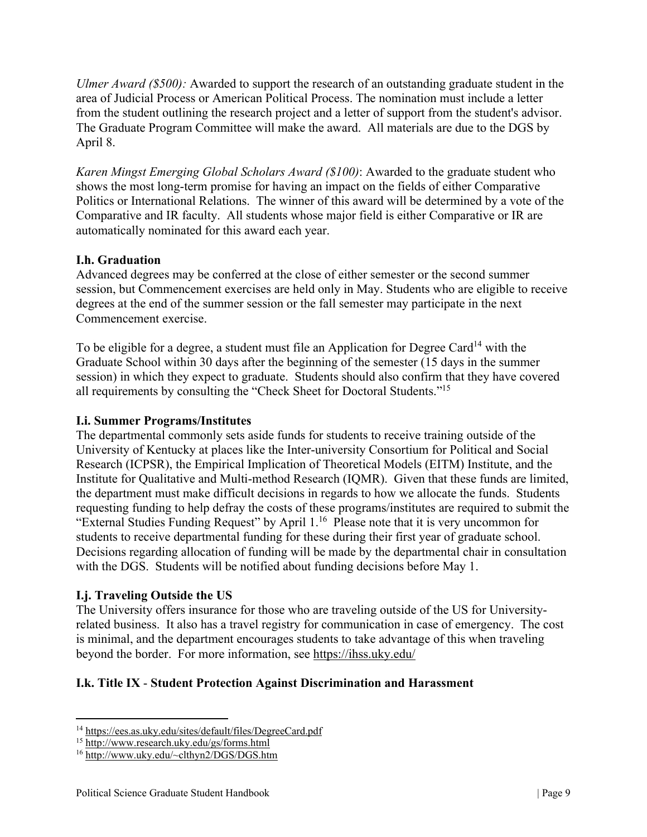*Ulmer Award (\$500):* Awarded to support the research of an outstanding graduate student in the area of Judicial Process or American Political Process. The nomination must include a letter from the student outlining the research project and a letter of support from the student's advisor. The Graduate Program Committee will make the award. All materials are due to the DGS by April 8.

*Karen Mingst Emerging Global Scholars Award (\$100)*: Awarded to the graduate student who shows the most long-term promise for having an impact on the fields of either Comparative Politics or International Relations. The winner of this award will be determined by a vote of the Comparative and IR faculty. All students whose major field is either Comparative or IR are automatically nominated for this award each year.

# **I.h. Graduation**

Advanced degrees may be conferred at the close of either semester or the second summer session, but Commencement exercises are held only in May. Students who are eligible to receive degrees at the end of the summer session or the fall semester may participate in the next Commencement exercise.

To be eligible for a degree, a student must file an Application for Degree Card<sup>14</sup> with the Graduate School within 30 days after the beginning of the semester (15 days in the summer session) in which they expect to graduate. Students should also confirm that they have covered all requirements by consulting the "Check Sheet for Doctoral Students."15

# **I.i. Summer Programs/Institutes**

The departmental commonly sets aside funds for students to receive training outside of the University of Kentucky at places like the Inter-university Consortium for Political and Social Research (ICPSR), the Empirical Implication of Theoretical Models (EITM) Institute, and the Institute for Qualitative and Multi-method Research (IQMR). Given that these funds are limited, the department must make difficult decisions in regards to how we allocate the funds. Students requesting funding to help defray the costs of these programs/institutes are required to submit the "External Studies Funding Request" by April 1.16 Please note that it is very uncommon for students to receive departmental funding for these during their first year of graduate school. Decisions regarding allocation of funding will be made by the departmental chair in consultation with the DGS. Students will be notified about funding decisions before May 1.

# **I.j. Traveling Outside the US**

The University offers insurance for those who are traveling outside of the US for Universityrelated business. It also has a travel registry for communication in case of emergency. The cost is minimal, and the department encourages students to take advantage of this when traveling beyond the border. For more information, see https://ihss.uky.edu/

# **I.k. Title IX** - **Student Protection Against Discrimination and Harassment**

<sup>14</sup> https://ees.as.uky.edu/sites/default/files/DegreeCard.pdf

<sup>&</sup>lt;sup>15</sup> http://www.research.uky.edu/gs/forms.html<br><sup>16</sup> http://www.uky.edu/~clthyn2/DGS/DGS.htm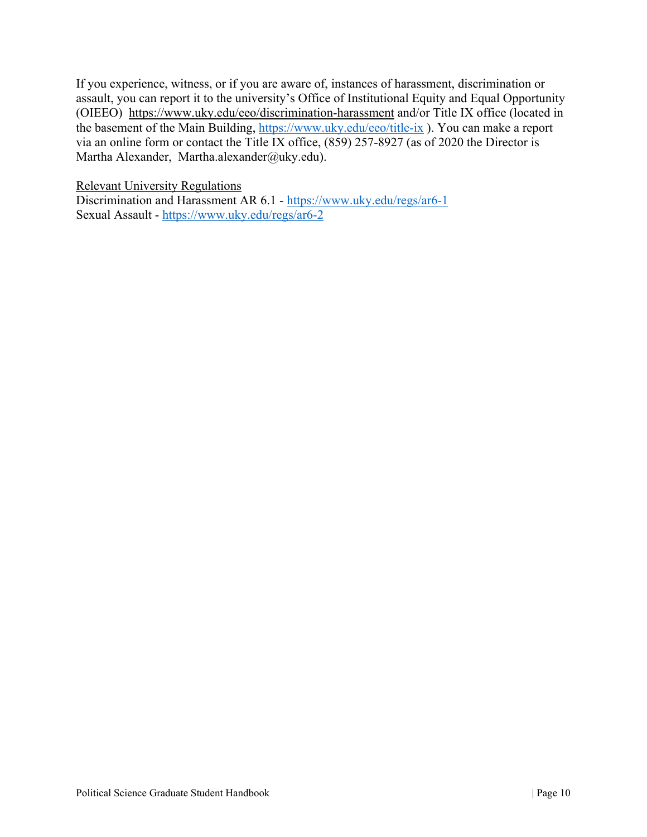If you experience, witness, or if you are aware of, instances of harassment, discrimination or assault, you can report it to the university's Office of Institutional Equity and Equal Opportunity (OIEEO) https://www.uky.edu/eeo/discrimination-harassment and/or Title IX office (located in the basement of the Main Building, https://www.uky.edu/eeo/title-ix ). You can make a report via an online form or contact the Title IX office, (859) 257-8927 (as of 2020 the Director is Martha Alexander, Martha.alexander@uky.edu).

Relevant University Regulations

Discrimination and Harassment AR 6.1 - https://www.uky.edu/regs/ar6-1 Sexual Assault - https://www.uky.edu/regs/ar6-2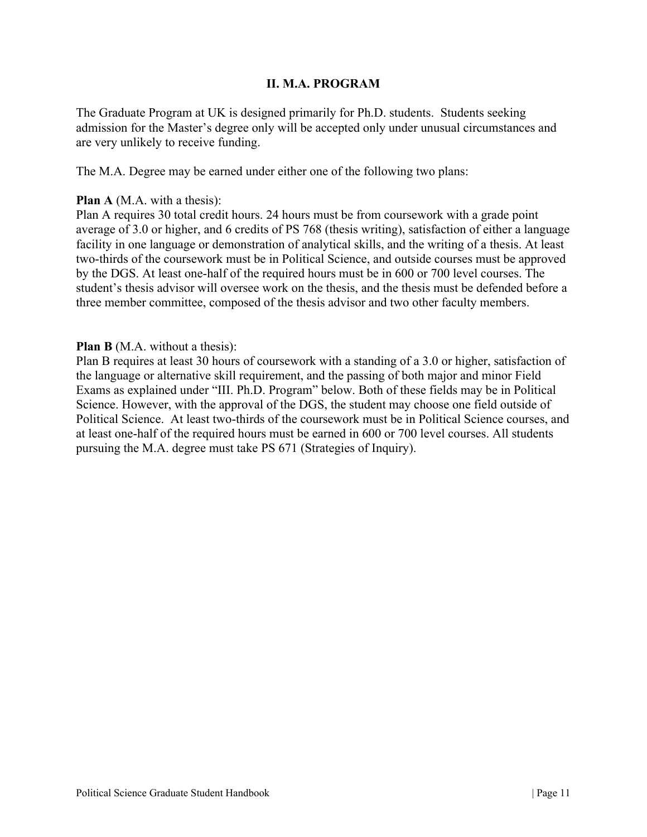### **II. M.A. PROGRAM**

The Graduate Program at UK is designed primarily for Ph.D. students. Students seeking admission for the Master's degree only will be accepted only under unusual circumstances and are very unlikely to receive funding.

The M.A. Degree may be earned under either one of the following two plans:

#### **Plan A** (M.A. with a thesis):

Plan A requires 30 total credit hours. 24 hours must be from coursework with a grade point average of 3.0 or higher, and 6 credits of PS 768 (thesis writing), satisfaction of either a language facility in one language or demonstration of analytical skills, and the writing of a thesis. At least two-thirds of the coursework must be in Political Science, and outside courses must be approved by the DGS. At least one-half of the required hours must be in 600 or 700 level courses. The student's thesis advisor will oversee work on the thesis, and the thesis must be defended before a three member committee, composed of the thesis advisor and two other faculty members.

#### **Plan B** (M.A. without a thesis):

Plan B requires at least 30 hours of coursework with a standing of a 3.0 or higher, satisfaction of the language or alternative skill requirement, and the passing of both major and minor Field Exams as explained under "III. Ph.D. Program" below. Both of these fields may be in Political Science. However, with the approval of the DGS, the student may choose one field outside of Political Science. At least two-thirds of the coursework must be in Political Science courses, and at least one-half of the required hours must be earned in 600 or 700 level courses. All students pursuing the M.A. degree must take PS 671 (Strategies of Inquiry).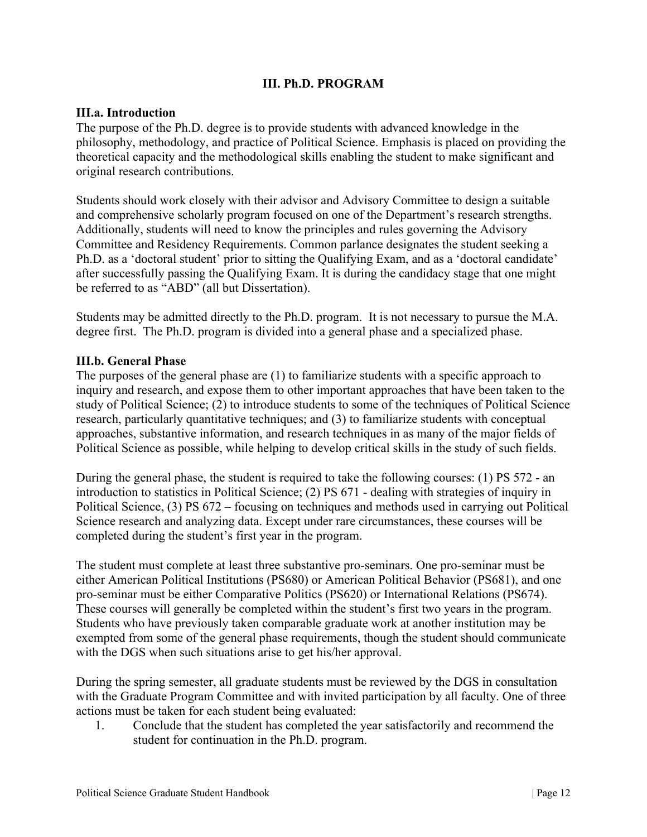### **III. Ph.D. PROGRAM**

#### **III.a. Introduction**

The purpose of the Ph.D. degree is to provide students with advanced knowledge in the philosophy, methodology, and practice of Political Science. Emphasis is placed on providing the theoretical capacity and the methodological skills enabling the student to make significant and original research contributions.

Students should work closely with their advisor and Advisory Committee to design a suitable and comprehensive scholarly program focused on one of the Department's research strengths. Additionally, students will need to know the principles and rules governing the Advisory Committee and Residency Requirements. Common parlance designates the student seeking a Ph.D. as a 'doctoral student' prior to sitting the Qualifying Exam, and as a 'doctoral candidate' after successfully passing the Qualifying Exam. It is during the candidacy stage that one might be referred to as "ABD" (all but Dissertation).

Students may be admitted directly to the Ph.D. program. It is not necessary to pursue the M.A. degree first. The Ph.D. program is divided into a general phase and a specialized phase.

#### **III.b. General Phase**

The purposes of the general phase are (1) to familiarize students with a specific approach to inquiry and research, and expose them to other important approaches that have been taken to the study of Political Science; (2) to introduce students to some of the techniques of Political Science research, particularly quantitative techniques; and (3) to familiarize students with conceptual approaches, substantive information, and research techniques in as many of the major fields of Political Science as possible, while helping to develop critical skills in the study of such fields.

During the general phase, the student is required to take the following courses: (1) PS 572 - an introduction to statistics in Political Science; (2) PS 671 - dealing with strategies of inquiry in Political Science, (3) PS 672 – focusing on techniques and methods used in carrying out Political Science research and analyzing data. Except under rare circumstances, these courses will be completed during the student's first year in the program.

The student must complete at least three substantive pro-seminars. One pro-seminar must be either American Political Institutions (PS680) or American Political Behavior (PS681), and one pro-seminar must be either Comparative Politics (PS620) or International Relations (PS674). These courses will generally be completed within the student's first two years in the program. Students who have previously taken comparable graduate work at another institution may be exempted from some of the general phase requirements, though the student should communicate with the DGS when such situations arise to get his/her approval.

During the spring semester, all graduate students must be reviewed by the DGS in consultation with the Graduate Program Committee and with invited participation by all faculty. One of three actions must be taken for each student being evaluated:

1. Conclude that the student has completed the year satisfactorily and recommend the student for continuation in the Ph.D. program.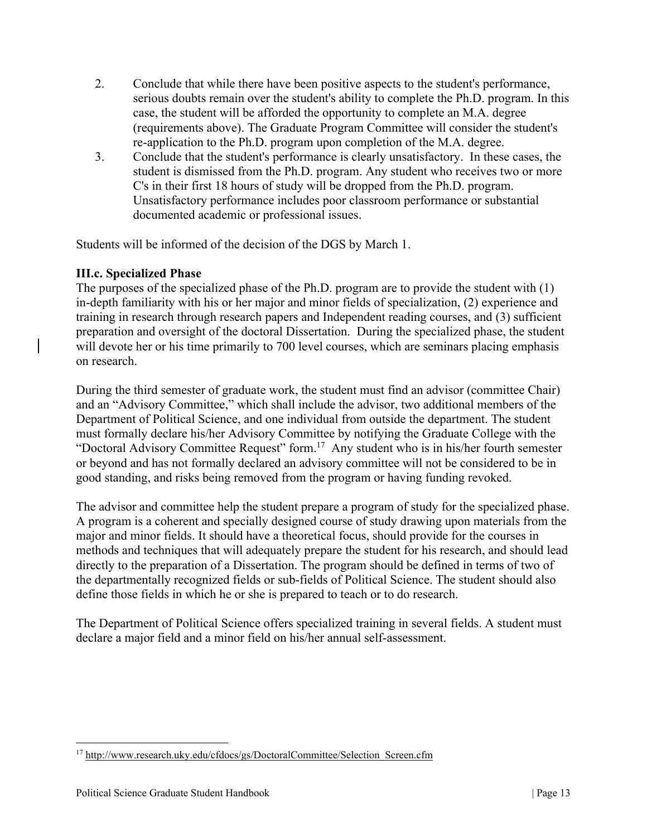- 2. Conclude that while there have been positive aspects to the student's performance, serious doubts remain over the student's ability to complete the Ph.D. program. In this case, the student will be afforded the opportunity to complete an M.A. degree (requirements above). The Graduate Program Committee will consider the student's re-application to the Ph.D. program upon completion of the M.A. degree.
- 3. Conclude that the student's performance is clearly unsatisfactory. In these cases, the student is dismissed from the Ph.D. program. Any student who receives two or more C's in their first 18 hours of study will be dropped from the Ph.D. program. Unsatisfactory performance includes poor classroom performance or substantial documented academic or professional issues.

Students will be informed of the decision of the DGS by March 1.

# **III.c. Specialized Phase**

The purposes of the specialized phase of the Ph.D. program are to provide the student with (1) in-depth familiarity with his or her major and minor fields of specialization, (2) experience and training in research through research papers and Independent reading courses, and (3) sufficient preparation and oversight of the doctoral Dissertation. During the specialized phase, the student will devote her or his time primarily to 700 level courses, which are seminars placing emphasis on research.

During the third semester of graduate work, the student must find an advisor (committee Chair) and an "Advisory Committee," which shall include the advisor, two additional members of the Department of Political Science, and one individual from outside the department. The student must formally declare his/her Advisory Committee by notifying the Graduate College with the "Doctoral Advisory Committee Request" form.<sup>17</sup> Any student who is in his/her fourth semester or beyond and has not formally declared an advisory committee will not be considered to be in good standing, and risks being removed from the program or having funding revoked.

The advisor and committee help the student prepare a program of study for the specialized phase. A program is a coherent and specially designed course of study drawing upon materials from the major and minor fields. It should have a theoretical focus, should provide for the courses in methods and techniques that will adequately prepare the student for his research, and should lead directly to the preparation of a Dissertation. The program should be defined in terms of two of the departmentally recognized fields or sub-fields of Political Science. The student should also define those fields in which he or she is prepared to teach or to do research.

The Department of Political Science offers specialized training in several fields. A student must declare a major field and a minor field on his/her annual self-assessment.

<sup>&</sup>lt;sup>17</sup> http://www.research.uky.edu/cfdocs/gs/DoctoralCommittee/Selection\_Screen.cfm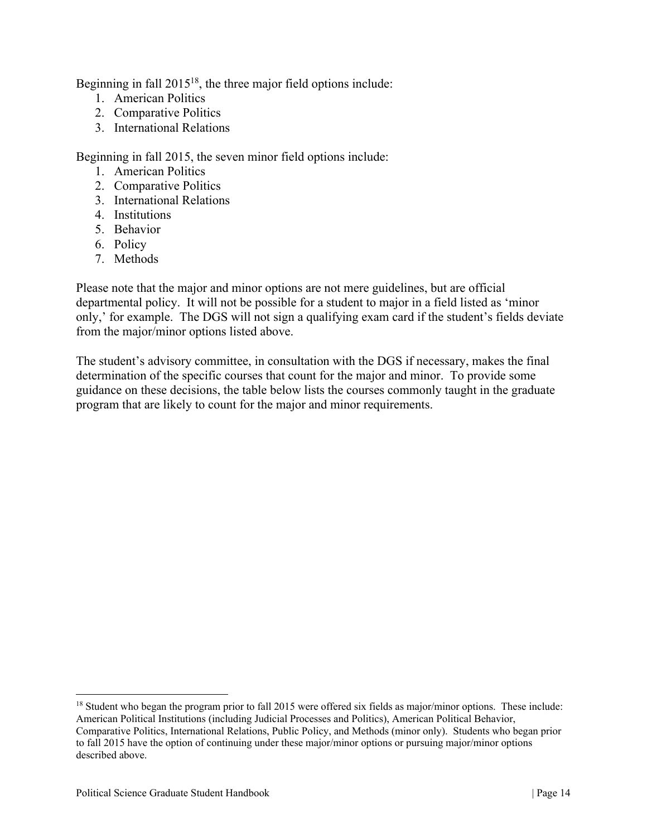Beginning in fall 2015<sup>18</sup>, the three major field options include:

- 1. American Politics
- 2. Comparative Politics
- 3. International Relations

Beginning in fall 2015, the seven minor field options include:

- 1. American Politics
- 2. Comparative Politics
- 3. International Relations
- 4. Institutions
- 5. Behavior
- 6. Policy
- 7. Methods

Please note that the major and minor options are not mere guidelines, but are official departmental policy. It will not be possible for a student to major in a field listed as 'minor only,' for example. The DGS will not sign a qualifying exam card if the student's fields deviate from the major/minor options listed above.

The student's advisory committee, in consultation with the DGS if necessary, makes the final determination of the specific courses that count for the major and minor. To provide some guidance on these decisions, the table below lists the courses commonly taught in the graduate program that are likely to count for the major and minor requirements.

<sup>&</sup>lt;sup>18</sup> Student who began the program prior to fall 2015 were offered six fields as major/minor options. These include: American Political Institutions (including Judicial Processes and Politics), American Political Behavior, Comparative Politics, International Relations, Public Policy, and Methods (minor only). Students who began prior to fall 2015 have the option of continuing under these major/minor options or pursuing major/minor options described above.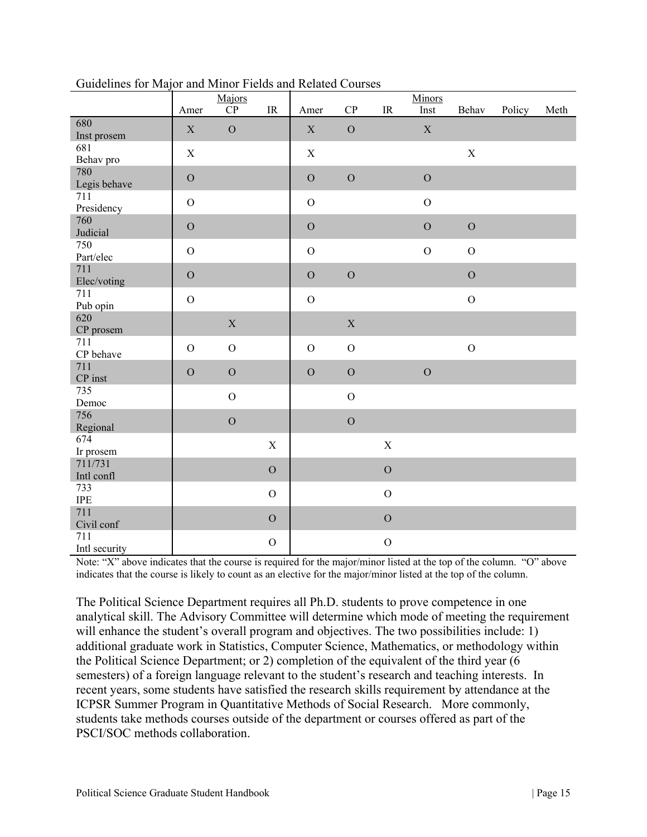|                         | --<br>$\cdots$<br>Amer | Majors<br>${\bf CP}$ | $\ensuremath{\mathsf{IR}}\xspace$ | Amer          | ${\bf CP}$     | $\ensuremath{\mathsf{IR}}\xspace$ | Minors<br>Inst | Behav          | Policy | Meth |
|-------------------------|------------------------|----------------------|-----------------------------------|---------------|----------------|-----------------------------------|----------------|----------------|--------|------|
| 680<br>Inst prosem      | $\mathbf X$            | $\mathbf O$          |                                   | $\mathbf X$   | $\overline{O}$ |                                   | $\mathbf X$    |                |        |      |
| 681<br>Behav pro        | $\mathbf X$            |                      |                                   | $\mathbf X$   |                |                                   |                | X              |        |      |
| 780<br>Legis behave     | $\mathcal O$           |                      |                                   | $\mathcal O$  | $\overline{O}$ |                                   | ${\cal O}$     |                |        |      |
| 711<br>Presidency       | $\mathcal{O}$          |                      |                                   | $\mathcal{O}$ |                |                                   | $\mathcal{O}$  |                |        |      |
| 760<br>Judicial         | $\mathbf O$            |                      |                                   | $\mathcal{O}$ |                |                                   | $\mathbf O$    | $\overline{O}$ |        |      |
| 750<br>Part/elec        | $\mathbf O$            |                      |                                   | $\mathcal O$  |                |                                   | $\overline{O}$ | $\mathcal O$   |        |      |
| 711<br>Elec/voting      | $\overline{O}$         |                      |                                   | $\mathcal{O}$ | $\overline{O}$ |                                   |                | $\mathcal O$   |        |      |
| 711<br>Pub opin         | $\overline{O}$         |                      |                                   | $\mathbf O$   |                |                                   |                | $\overline{O}$ |        |      |
| 620<br>CP prosem        |                        | $\mathbf X$          |                                   |               | $\mathbf X$    |                                   |                |                |        |      |
| 711<br>CP behave        | $\mathbf O$            | ${\cal O}$           |                                   | $\mathcal O$  | $\mathbf O$    |                                   |                | $\overline{O}$ |        |      |
| 711<br>${\cal CP}$ inst | $\mathbf O$            | $\mathcal O$         |                                   | $\mathbf O$   | $\overline{O}$ |                                   | $\mathbf O$    |                |        |      |
| 735<br>Democ            |                        | $\mathcal O$         |                                   |               | $\mathcal O$   |                                   |                |                |        |      |
| 756<br>Regional         |                        | $\mathcal O$         |                                   |               | $\overline{O}$ |                                   |                |                |        |      |
| 674<br>Ir prosem        |                        |                      | $\mathbf X$                       |               |                | $\mathbf X$                       |                |                |        |      |
| 711/731<br>Intl confl   |                        |                      | $\mathbf O$                       |               |                | $\mathbf O$                       |                |                |        |      |
| 733<br><b>IPE</b>       |                        |                      | $\mathcal{O}$                     |               |                | $\mathbf O$                       |                |                |        |      |
| 711<br>Civil conf       |                        |                      | $\mathbf O$                       |               |                | $\mathbf O$                       |                |                |        |      |
| 711<br>Intl security    |                        |                      | $\mathcal{O}$                     |               |                | $\mathbf O$                       |                |                |        |      |

Guidelines for Major and Minor Fields and Related Courses

Note: "X" above indicates that the course is required for the major/minor listed at the top of the column. "O" above indicates that the course is likely to count as an elective for the major/minor listed at the top of the column.

The Political Science Department requires all Ph.D. students to prove competence in one analytical skill. The Advisory Committee will determine which mode of meeting the requirement will enhance the student's overall program and objectives. The two possibilities include: 1) additional graduate work in Statistics, Computer Science, Mathematics, or methodology within the Political Science Department; or 2) completion of the equivalent of the third year (6 semesters) of a foreign language relevant to the student's research and teaching interests. In recent years, some students have satisfied the research skills requirement by attendance at the ICPSR Summer Program in Quantitative Methods of Social Research. More commonly, students take methods courses outside of the department or courses offered as part of the PSCI/SOC methods collaboration.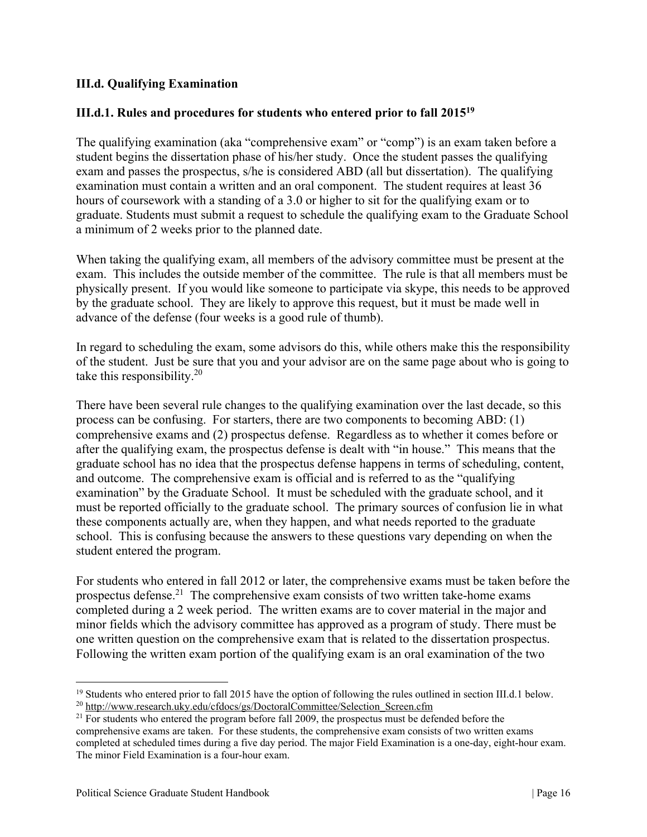### **III.d. Qualifying Examination**

### **III.d.1. Rules and procedures for students who entered prior to fall 201519**

The qualifying examination (aka "comprehensive exam" or "comp") is an exam taken before a student begins the dissertation phase of his/her study. Once the student passes the qualifying exam and passes the prospectus, s/he is considered ABD (all but dissertation). The qualifying examination must contain a written and an oral component. The student requires at least 36 hours of coursework with a standing of a 3.0 or higher to sit for the qualifying exam or to graduate. Students must submit a request to schedule the qualifying exam to the Graduate School a minimum of 2 weeks prior to the planned date.

When taking the qualifying exam, all members of the advisory committee must be present at the exam. This includes the outside member of the committee. The rule is that all members must be physically present. If you would like someone to participate via skype, this needs to be approved by the graduate school. They are likely to approve this request, but it must be made well in advance of the defense (four weeks is a good rule of thumb).

In regard to scheduling the exam, some advisors do this, while others make this the responsibility of the student. Just be sure that you and your advisor are on the same page about who is going to take this responsibility.<sup>20</sup>

There have been several rule changes to the qualifying examination over the last decade, so this process can be confusing. For starters, there are two components to becoming ABD: (1) comprehensive exams and (2) prospectus defense. Regardless as to whether it comes before or after the qualifying exam, the prospectus defense is dealt with "in house." This means that the graduate school has no idea that the prospectus defense happens in terms of scheduling, content, and outcome. The comprehensive exam is official and is referred to as the "qualifying examination" by the Graduate School. It must be scheduled with the graduate school, and it must be reported officially to the graduate school. The primary sources of confusion lie in what these components actually are, when they happen, and what needs reported to the graduate school. This is confusing because the answers to these questions vary depending on when the student entered the program.

For students who entered in fall 2012 or later, the comprehensive exams must be taken before the prospectus defense.<sup>21</sup> The comprehensive exam consists of two written take-home exams completed during a 2 week period. The written exams are to cover material in the major and minor fields which the advisory committee has approved as a program of study. There must be one written question on the comprehensive exam that is related to the dissertation prospectus. Following the written exam portion of the qualifying exam is an oral examination of the two

<sup>&</sup>lt;sup>19</sup> Students who entered prior to fall 2015 have the option of following the rules outlined in section III.d.1 below.<br><sup>20</sup> http://www.research.uky.edu/cfdocs/gs/DoctoralCommittee/Selection Screen.cfm<br><sup>21</sup> For students wh

comprehensive exams are taken. For these students, the comprehensive exam consists of two written exams completed at scheduled times during a five day period. The major Field Examination is a one-day, eight-hour exam. The minor Field Examination is a four-hour exam.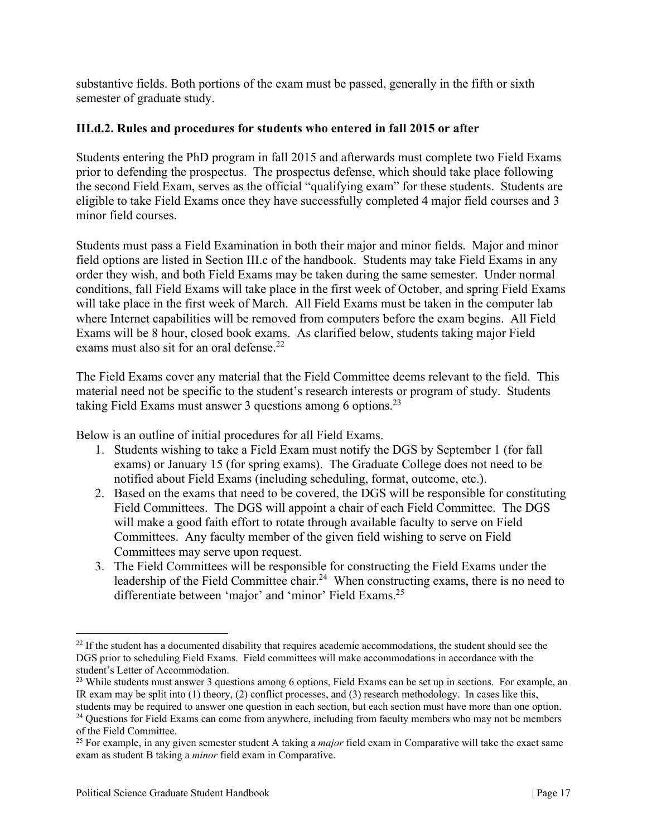substantive fields. Both portions of the exam must be passed, generally in the fifth or sixth semester of graduate study.

### **III.d.2. Rules and procedures for students who entered in fall 2015 or after**

Students entering the PhD program in fall 2015 and afterwards must complete two Field Exams prior to defending the prospectus. The prospectus defense, which should take place following the second Field Exam, serves as the official "qualifying exam" for these students. Students are eligible to take Field Exams once they have successfully completed 4 major field courses and 3 minor field courses.

Students must pass a Field Examination in both their major and minor fields. Major and minor field options are listed in Section III.c of the handbook. Students may take Field Exams in any order they wish, and both Field Exams may be taken during the same semester. Under normal conditions, fall Field Exams will take place in the first week of October, and spring Field Exams will take place in the first week of March. All Field Exams must be taken in the computer lab where Internet capabilities will be removed from computers before the exam begins. All Field Exams will be 8 hour, closed book exams. As clarified below, students taking major Field exams must also sit for an oral defense. $22$ 

The Field Exams cover any material that the Field Committee deems relevant to the field. This material need not be specific to the student's research interests or program of study. Students taking Field Exams must answer 3 questions among 6 options.<sup>23</sup>

Below is an outline of initial procedures for all Field Exams.

- 1. Students wishing to take a Field Exam must notify the DGS by September 1 (for fall exams) or January 15 (for spring exams). The Graduate College does not need to be notified about Field Exams (including scheduling, format, outcome, etc.).
- 2. Based on the exams that need to be covered, the DGS will be responsible for constituting Field Committees. The DGS will appoint a chair of each Field Committee. The DGS will make a good faith effort to rotate through available faculty to serve on Field Committees. Any faculty member of the given field wishing to serve on Field Committees may serve upon request.
- 3. The Field Committees will be responsible for constructing the Field Exams under the leadership of the Field Committee chair.<sup>24</sup> When constructing exams, there is no need to differentiate between 'major' and 'minor' Field Exams.<sup>25</sup>

<sup>&</sup>lt;sup>22</sup> If the student has a documented disability that requires academic accommodations, the student should see the DGS prior to scheduling Field Exams. Field committees will make accommodations in accordance with the student's Letter of Accommodation.

<sup>&</sup>lt;sup>23</sup> While students must answer 3 questions among 6 options, Field Exams can be set up in sections. For example, an IR exam may be split into (1) theory, (2) conflict processes, and (3) research methodology. In cases like this, students may be required to answer one question in each section, but each section must have more than one option.

<sup>&</sup>lt;sup>24</sup> Questions for Field Exams can come from anywhere, including from faculty members who may not be members

of the Field Committee.

<sup>25</sup> For example, in any given semester student A taking a *major* field exam in Comparative will take the exact same exam as student B taking a *minor* field exam in Comparative.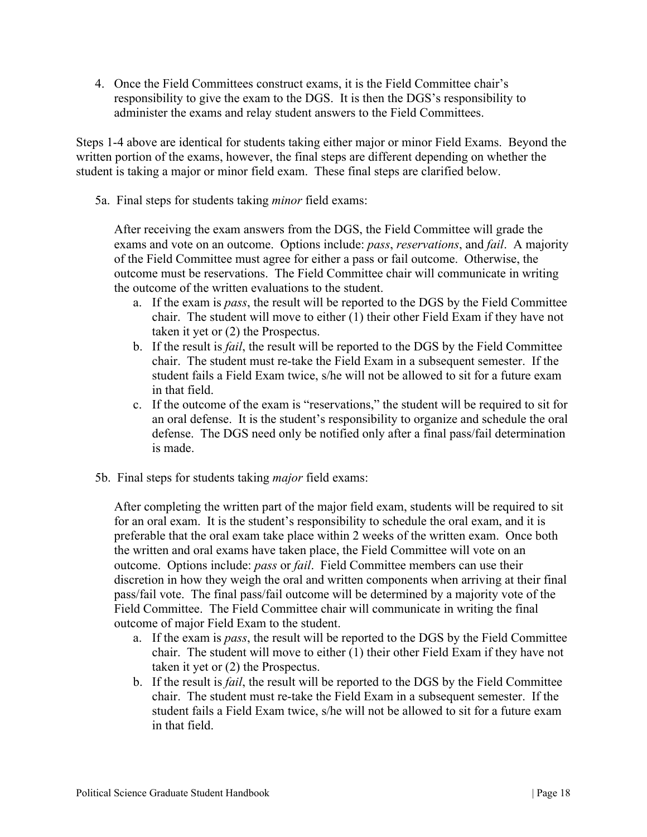4. Once the Field Committees construct exams, it is the Field Committee chair's responsibility to give the exam to the DGS. It is then the DGS's responsibility to administer the exams and relay student answers to the Field Committees.

Steps 1-4 above are identical for students taking either major or minor Field Exams. Beyond the written portion of the exams, however, the final steps are different depending on whether the student is taking a major or minor field exam. These final steps are clarified below.

5a. Final steps for students taking *minor* field exams:

After receiving the exam answers from the DGS, the Field Committee will grade the exams and vote on an outcome. Options include: *pass*, *reservations*, and *fail*. A majority of the Field Committee must agree for either a pass or fail outcome. Otherwise, the outcome must be reservations. The Field Committee chair will communicate in writing the outcome of the written evaluations to the student.

- a. If the exam is *pass*, the result will be reported to the DGS by the Field Committee chair. The student will move to either (1) their other Field Exam if they have not taken it yet or (2) the Prospectus.
- b. If the result is *fail*, the result will be reported to the DGS by the Field Committee chair. The student must re-take the Field Exam in a subsequent semester. If the student fails a Field Exam twice, s/he will not be allowed to sit for a future exam in that field.
- c. If the outcome of the exam is "reservations," the student will be required to sit for an oral defense. It is the student's responsibility to organize and schedule the oral defense. The DGS need only be notified only after a final pass/fail determination is made.
- 5b. Final steps for students taking *major* field exams:

After completing the written part of the major field exam, students will be required to sit for an oral exam. It is the student's responsibility to schedule the oral exam, and it is preferable that the oral exam take place within 2 weeks of the written exam. Once both the written and oral exams have taken place, the Field Committee will vote on an outcome. Options include: *pass* or *fail*. Field Committee members can use their discretion in how they weigh the oral and written components when arriving at their final pass/fail vote. The final pass/fail outcome will be determined by a majority vote of the Field Committee. The Field Committee chair will communicate in writing the final outcome of major Field Exam to the student.

- a. If the exam is *pass*, the result will be reported to the DGS by the Field Committee chair. The student will move to either (1) their other Field Exam if they have not taken it yet or (2) the Prospectus.
- b. If the result is *fail*, the result will be reported to the DGS by the Field Committee chair. The student must re-take the Field Exam in a subsequent semester. If the student fails a Field Exam twice, s/he will not be allowed to sit for a future exam in that field.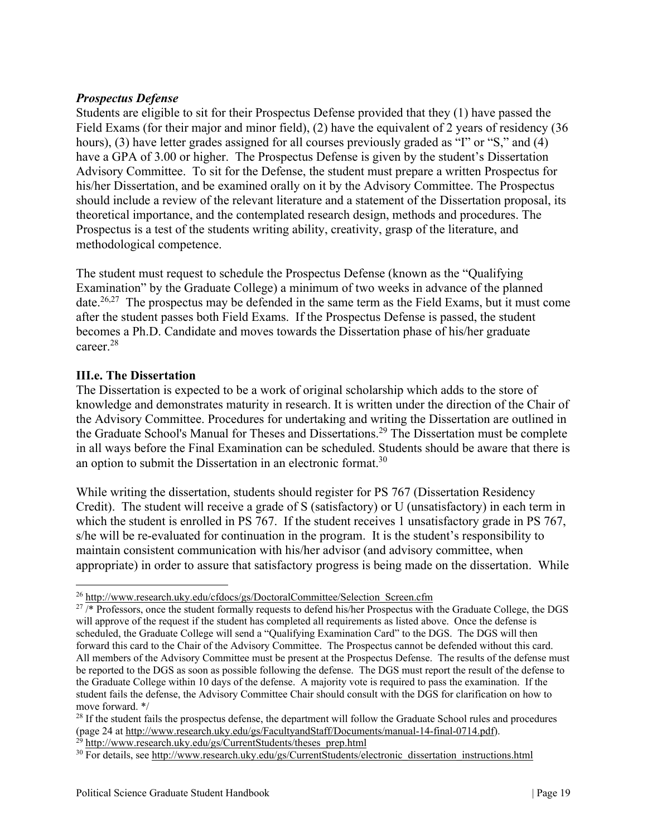### *Prospectus Defense*

Students are eligible to sit for their Prospectus Defense provided that they (1) have passed the Field Exams (for their major and minor field), (2) have the equivalent of 2 years of residency (36 hours), (3) have letter grades assigned for all courses previously graded as "I" or "S," and (4) have a GPA of 3.00 or higher. The Prospectus Defense is given by the student's Dissertation Advisory Committee. To sit for the Defense, the student must prepare a written Prospectus for his/her Dissertation, and be examined orally on it by the Advisory Committee. The Prospectus should include a review of the relevant literature and a statement of the Dissertation proposal, its theoretical importance, and the contemplated research design, methods and procedures. The Prospectus is a test of the students writing ability, creativity, grasp of the literature, and methodological competence.

The student must request to schedule the Prospectus Defense (known as the "Qualifying Examination" by the Graduate College) a minimum of two weeks in advance of the planned date.<sup>26,27</sup> The prospectus may be defended in the same term as the Field Exams, but it must come after the student passes both Field Exams. If the Prospectus Defense is passed, the student becomes a Ph.D. Candidate and moves towards the Dissertation phase of his/her graduate career.28

### **III.e. The Dissertation**

The Dissertation is expected to be a work of original scholarship which adds to the store of knowledge and demonstrates maturity in research. It is written under the direction of the Chair of the Advisory Committee. Procedures for undertaking and writing the Dissertation are outlined in the Graduate School's Manual for Theses and Dissertations.<sup>29</sup> The Dissertation must be complete in all ways before the Final Examination can be scheduled. Students should be aware that there is an option to submit the Dissertation in an electronic format.<sup>30</sup>

While writing the dissertation, students should register for PS 767 (Dissertation Residency Credit). The student will receive a grade of S (satisfactory) or U (unsatisfactory) in each term in which the student is enrolled in PS 767. If the student receives 1 unsatisfactory grade in PS 767, s/he will be re-evaluated for continuation in the program. It is the student's responsibility to maintain consistent communication with his/her advisor (and advisory committee, when appropriate) in order to assure that satisfactory progress is being made on the dissertation. While

<sup>&</sup>lt;sup>26</sup> http://www.research.uky.edu/cfdocs/gs/DoctoralCommittee/Selection\_Screen.cfm  $27$  /\* Professors, once the student formally requests to defend his/her Prospectus with the Graduate College, the DGS will approve of the request if the student has completed all requirements as listed above. Once the defense is scheduled, the Graduate College will send a "Qualifying Examination Card" to the DGS. The DGS will then forward this card to the Chair of the Advisory Committee. The Prospectus cannot be defended without this card. All members of the Advisory Committee must be present at the Prospectus Defense. The results of the defense must be reported to the DGS as soon as possible following the defense. The DGS must report the result of the defense to the Graduate College within 10 days of the defense. A majority vote is required to pass the examination. If the student fails the defense, the Advisory Committee Chair should consult with the DGS for clarification on how to move forward. \*/

<sup>&</sup>lt;sup>28</sup> If the student fails the prospectus defense, the department will follow the Graduate School rules and procedures (page 24 at  $\frac{http://www.reseach.uky.edu/gs/FacultyandStaff/Documents/manual-14-final-0714.pdf}{http://www.reseach.uky.edu/gs/FacultyandStaff/Documents/manual-14-final-0714.pdf}.$ 

<sup>&</sup>lt;sup>29</sup> http://www.research.uky.edu/gs/CurrentStudents/theses\_prep.html<br><sup>30</sup> For details, see http://www.research.uky.edu/gs/CurrentStudents/electronic dissertation instructions.html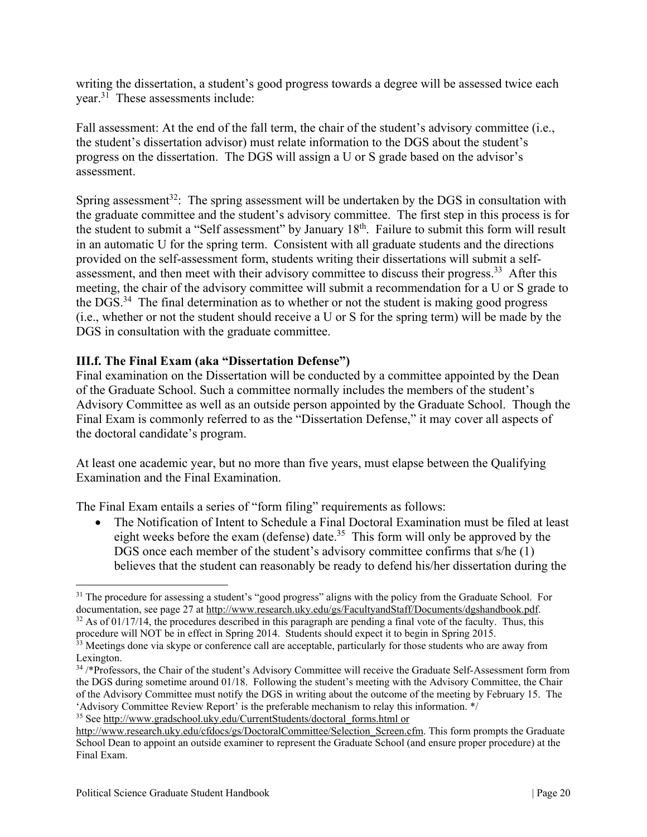writing the dissertation, a student's good progress towards a degree will be assessed twice each vear. $3\overline{1}$  These assessments include:

Fall assessment: At the end of the fall term, the chair of the student's advisory committee (i.e., the student's dissertation advisor) must relate information to the DGS about the student's progress on the dissertation. The DGS will assign a U or S grade based on the advisor's assessment.

Spring assessment<sup>32</sup>: The spring assessment will be undertaken by the DGS in consultation with the graduate committee and the student's advisory committee. The first step in this process is for the student to submit a "Self assessment" by January 18<sup>th</sup>. Failure to submit this form will result in an automatic U for the spring term. Consistent with all graduate students and the directions provided on the self-assessment form, students writing their dissertations will submit a selfassessment, and then meet with their advisory committee to discuss their progress.<sup>33</sup> After this meeting, the chair of the advisory committee will submit a recommendation for a U or S grade to the DGS.34 The final determination as to whether or not the student is making good progress (i.e., whether or not the student should receive a U or S for the spring term) will be made by the DGS in consultation with the graduate committee.

# **III.f. The Final Exam (aka "Dissertation Defense")**

Final examination on the Dissertation will be conducted by a committee appointed by the Dean of the Graduate School. Such a committee normally includes the members of the student's Advisory Committee as well as an outside person appointed by the Graduate School. Though the Final Exam is commonly referred to as the "Dissertation Defense," it may cover all aspects of the doctoral candidate's program.

At least one academic year, but no more than five years, must elapse between the Qualifying Examination and the Final Examination.

The Final Exam entails a series of "form filing" requirements as follows:

 The Notification of Intent to Schedule a Final Doctoral Examination must be filed at least eight weeks before the exam (defense) date.<sup>35</sup> This form will only be approved by the DGS once each member of the student's advisory committee confirms that s/he (1) believes that the student can reasonably be ready to defend his/her dissertation during the

<sup>&</sup>lt;sup>31</sup> The procedure for assessing a student's "good progress" aligns with the policy from the Graduate School. For documentation, see page 27 at http://www.research.uky.edu/gs/FacultyandStaff/Documents/dgshandbook.pdf. 32 As of 01/17/14, the procedures described in this paragraph are pending a final vote of the faculty. Thus, this proc

<sup>&</sup>lt;sup>33</sup> Meetings done via skype or conference call are acceptable, particularly for those students who are away from Lexington.

<sup>34 /\*</sup>Professors, the Chair of the student's Advisory Committee will receive the Graduate Self-Assessment form from the DGS during sometime around 01/18. Following the student's meeting with the Advisory Committee, the Chair of the Advisory Committee must notify the DGS in writing about the outcome of the meeting by February 15. The 'Advisory Committee Review Report' is the preferable mechanism to relay this information. \*/ 35 See http://www.gradschool.uky.edu/CurrentStudents/doctoral\_forms.html or

http://www.research.uky.edu/cfdocs/gs/DoctoralCommittee/Selection\_Screen.cfm. This form prompts the Graduate

School Dean to appoint an outside examiner to represent the Graduate School (and ensure proper procedure) at the Final Exam.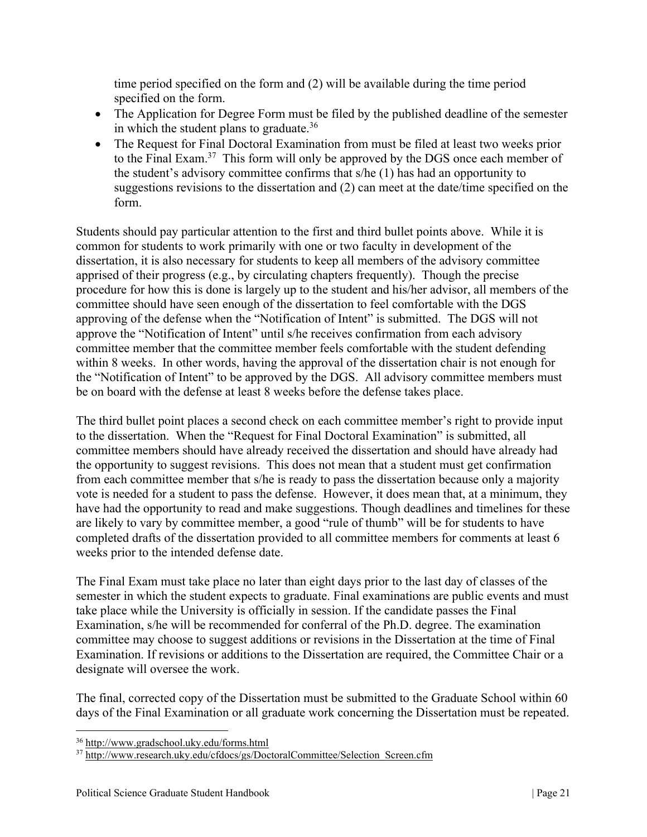time period specified on the form and (2) will be available during the time period specified on the form.

- The Application for Degree Form must be filed by the published deadline of the semester in which the student plans to graduate.<sup>36</sup>
- The Request for Final Doctoral Examination from must be filed at least two weeks prior to the Final Exam.<sup>37</sup> This form will only be approved by the DGS once each member of the student's advisory committee confirms that s/he (1) has had an opportunity to suggestions revisions to the dissertation and (2) can meet at the date/time specified on the form.

Students should pay particular attention to the first and third bullet points above. While it is common for students to work primarily with one or two faculty in development of the dissertation, it is also necessary for students to keep all members of the advisory committee apprised of their progress (e.g., by circulating chapters frequently). Though the precise procedure for how this is done is largely up to the student and his/her advisor, all members of the committee should have seen enough of the dissertation to feel comfortable with the DGS approving of the defense when the "Notification of Intent" is submitted. The DGS will not approve the "Notification of Intent" until s/he receives confirmation from each advisory committee member that the committee member feels comfortable with the student defending within 8 weeks. In other words, having the approval of the dissertation chair is not enough for the "Notification of Intent" to be approved by the DGS. All advisory committee members must be on board with the defense at least 8 weeks before the defense takes place.

The third bullet point places a second check on each committee member's right to provide input to the dissertation. When the "Request for Final Doctoral Examination" is submitted, all committee members should have already received the dissertation and should have already had the opportunity to suggest revisions. This does not mean that a student must get confirmation from each committee member that s/he is ready to pass the dissertation because only a majority vote is needed for a student to pass the defense. However, it does mean that, at a minimum, they have had the opportunity to read and make suggestions. Though deadlines and timelines for these are likely to vary by committee member, a good "rule of thumb" will be for students to have completed drafts of the dissertation provided to all committee members for comments at least 6 weeks prior to the intended defense date.

The Final Exam must take place no later than eight days prior to the last day of classes of the semester in which the student expects to graduate. Final examinations are public events and must take place while the University is officially in session. If the candidate passes the Final Examination, s/he will be recommended for conferral of the Ph.D. degree. The examination committee may choose to suggest additions or revisions in the Dissertation at the time of Final Examination. If revisions or additions to the Dissertation are required, the Committee Chair or a designate will oversee the work.

The final, corrected copy of the Dissertation must be submitted to the Graduate School within 60 days of the Final Examination or all graduate work concerning the Dissertation must be repeated.

<sup>36</sup> http://www.gradschool.uky.edu/forms.html

<sup>&</sup>lt;sup>37</sup> http://www.research.uky.edu/cfdocs/gs/DoctoralCommittee/Selection Screen.cfm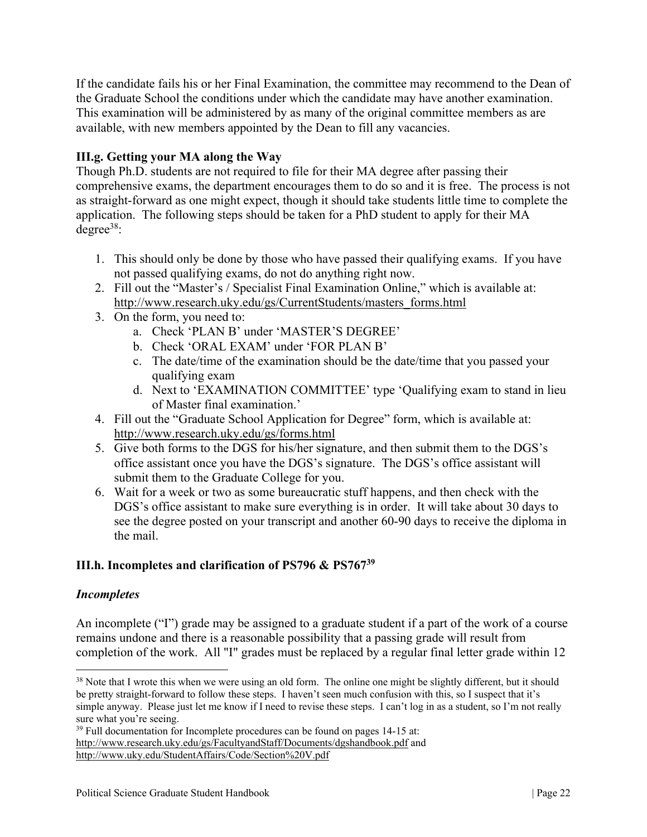If the candidate fails his or her Final Examination, the committee may recommend to the Dean of the Graduate School the conditions under which the candidate may have another examination. This examination will be administered by as many of the original committee members as are available, with new members appointed by the Dean to fill any vacancies.

# **III.g. Getting your MA along the Way**

Though Ph.D. students are not required to file for their MA degree after passing their comprehensive exams, the department encourages them to do so and it is free. The process is not as straight-forward as one might expect, though it should take students little time to complete the application. The following steps should be taken for a PhD student to apply for their MA  $degree<sup>38</sup>$ :

- 1. This should only be done by those who have passed their qualifying exams. If you have not passed qualifying exams, do not do anything right now.
- 2. Fill out the "Master's / Specialist Final Examination Online," which is available at: http://www.research.uky.edu/gs/CurrentStudents/masters\_forms.html
- 3. On the form, you need to:
	- a. Check 'PLAN B' under 'MASTER'S DEGREE'
	- b. Check 'ORAL EXAM' under 'FOR PLAN B'
	- c. The date/time of the examination should be the date/time that you passed your qualifying exam
	- d. Next to 'EXAMINATION COMMITTEE' type 'Qualifying exam to stand in lieu of Master final examination.'
- 4. Fill out the "Graduate School Application for Degree" form, which is available at: http://www.research.uky.edu/gs/forms.html
- 5. Give both forms to the DGS for his/her signature, and then submit them to the DGS's office assistant once you have the DGS's signature. The DGS's office assistant will submit them to the Graduate College for you.
- 6. Wait for a week or two as some bureaucratic stuff happens, and then check with the DGS's office assistant to make sure everything is in order. It will take about 30 days to see the degree posted on your transcript and another 60-90 days to receive the diploma in the mail.

# **III.h. Incompletes and clarification of PS796 & PS76739**

# *Incompletes*

An incomplete ("I") grade may be assigned to a graduate student if a part of the work of a course remains undone and there is a reasonable possibility that a passing grade will result from completion of the work. All "I" grades must be replaced by a regular final letter grade within 12

<sup>&</sup>lt;sup>38</sup> Note that I wrote this when we were using an old form. The online one might be slightly different, but it should be pretty straight-forward to follow these steps. I haven't seen much confusion with this, so I suspect that it's simple anyway. Please just let me know if I need to revise these steps. I can't log in as a student, so I'm not really sure what you're seeing.

<sup>&</sup>lt;sup>39</sup> Full documentation for Incomplete procedures can be found on pages 14-15 at: http://www.research.uky.edu/gs/FacultyandStaff/Documents/dgshandbook.pdf and http://www.uky.edu/StudentAffairs/Code/Section%20V.pdf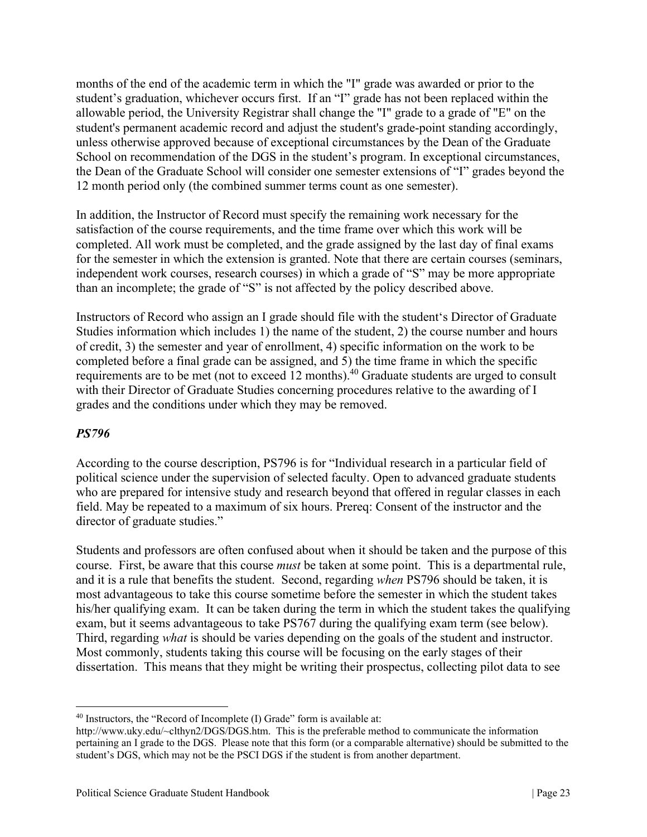months of the end of the academic term in which the "I" grade was awarded or prior to the student's graduation, whichever occurs first. If an "I" grade has not been replaced within the allowable period, the University Registrar shall change the "I" grade to a grade of "E" on the student's permanent academic record and adjust the student's grade-point standing accordingly, unless otherwise approved because of exceptional circumstances by the Dean of the Graduate School on recommendation of the DGS in the student's program. In exceptional circumstances, the Dean of the Graduate School will consider one semester extensions of "I" grades beyond the 12 month period only (the combined summer terms count as one semester).

In addition, the Instructor of Record must specify the remaining work necessary for the satisfaction of the course requirements, and the time frame over which this work will be completed. All work must be completed, and the grade assigned by the last day of final exams for the semester in which the extension is granted. Note that there are certain courses (seminars, independent work courses, research courses) in which a grade of "S" may be more appropriate than an incomplete; the grade of "S" is not affected by the policy described above.

Instructors of Record who assign an I grade should file with the student's Director of Graduate Studies information which includes 1) the name of the student, 2) the course number and hours of credit, 3) the semester and year of enrollment, 4) specific information on the work to be completed before a final grade can be assigned, and 5) the time frame in which the specific requirements are to be met (not to exceed 12 months).<sup>40</sup> Graduate students are urged to consult with their Director of Graduate Studies concerning procedures relative to the awarding of I grades and the conditions under which they may be removed.

# *PS796*

According to the course description, PS796 is for "Individual research in a particular field of political science under the supervision of selected faculty. Open to advanced graduate students who are prepared for intensive study and research beyond that offered in regular classes in each field. May be repeated to a maximum of six hours. Prereq: Consent of the instructor and the director of graduate studies."

Students and professors are often confused about when it should be taken and the purpose of this course. First, be aware that this course *must* be taken at some point. This is a departmental rule, and it is a rule that benefits the student. Second, regarding *when* PS796 should be taken, it is most advantageous to take this course sometime before the semester in which the student takes his/her qualifying exam. It can be taken during the term in which the student takes the qualifying exam, but it seems advantageous to take PS767 during the qualifying exam term (see below). Third, regarding *what* is should be varies depending on the goals of the student and instructor. Most commonly, students taking this course will be focusing on the early stages of their dissertation. This means that they might be writing their prospectus, collecting pilot data to see

<sup>&</sup>lt;sup>40</sup> Instructors, the "Record of Incomplete (I) Grade" form is available at:

http://www.uky.edu/~clthyn2/DGS/DGS.htm. This is the preferable method to communicate the information pertaining an I grade to the DGS. Please note that this form (or a comparable alternative) should be submitted to the student's DGS, which may not be the PSCI DGS if the student is from another department.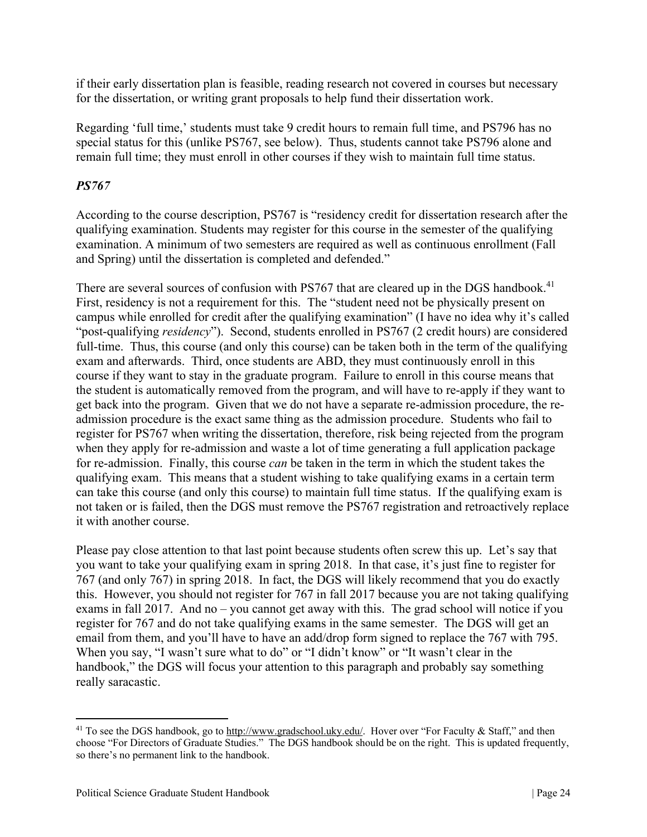if their early dissertation plan is feasible, reading research not covered in courses but necessary for the dissertation, or writing grant proposals to help fund their dissertation work.

Regarding 'full time,' students must take 9 credit hours to remain full time, and PS796 has no special status for this (unlike PS767, see below). Thus, students cannot take PS796 alone and remain full time; they must enroll in other courses if they wish to maintain full time status.

# *PS767*

According to the course description, PS767 is "residency credit for dissertation research after the qualifying examination. Students may register for this course in the semester of the qualifying examination. A minimum of two semesters are required as well as continuous enrollment (Fall and Spring) until the dissertation is completed and defended."

There are several sources of confusion with PS767 that are cleared up in the DGS handbook.<sup>41</sup> First, residency is not a requirement for this. The "student need not be physically present on campus while enrolled for credit after the qualifying examination" (I have no idea why it's called "post-qualifying *residency*"). Second, students enrolled in PS767 (2 credit hours) are considered full-time. Thus, this course (and only this course) can be taken both in the term of the qualifying exam and afterwards. Third, once students are ABD, they must continuously enroll in this course if they want to stay in the graduate program. Failure to enroll in this course means that the student is automatically removed from the program, and will have to re-apply if they want to get back into the program. Given that we do not have a separate re-admission procedure, the readmission procedure is the exact same thing as the admission procedure. Students who fail to register for PS767 when writing the dissertation, therefore, risk being rejected from the program when they apply for re-admission and waste a lot of time generating a full application package for re-admission. Finally, this course *can* be taken in the term in which the student takes the qualifying exam. This means that a student wishing to take qualifying exams in a certain term can take this course (and only this course) to maintain full time status. If the qualifying exam is not taken or is failed, then the DGS must remove the PS767 registration and retroactively replace it with another course.

Please pay close attention to that last point because students often screw this up. Let's say that you want to take your qualifying exam in spring 2018. In that case, it's just fine to register for 767 (and only 767) in spring 2018. In fact, the DGS will likely recommend that you do exactly this. However, you should not register for 767 in fall 2017 because you are not taking qualifying exams in fall 2017. And no – you cannot get away with this. The grad school will notice if you register for 767 and do not take qualifying exams in the same semester. The DGS will get an email from them, and you'll have to have an add/drop form signed to replace the 767 with 795. When you say, "I wasn't sure what to do" or "I didn't know" or "It wasn't clear in the handbook," the DGS will focus your attention to this paragraph and probably say something really saracastic.

<sup>&</sup>lt;sup>41</sup> To see the DGS handbook, go to http://www.gradschool.uky.edu/. Hover over "For Faculty & Staff," and then choose "For Directors of Graduate Studies." The DGS handbook should be on the right. This is updated frequently, so there's no permanent link to the handbook.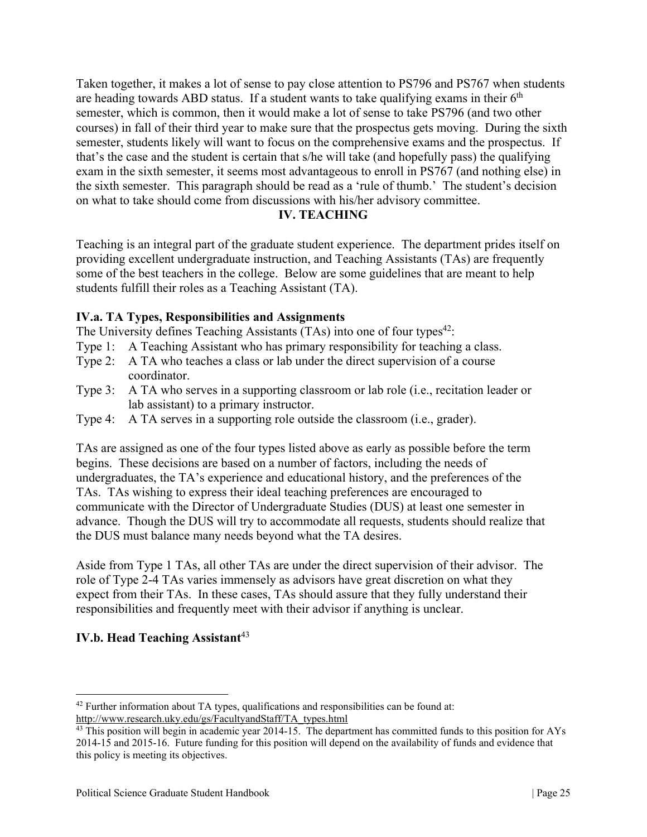Taken together, it makes a lot of sense to pay close attention to PS796 and PS767 when students are heading towards ABD status. If a student wants to take qualifying exams in their  $6<sup>th</sup>$ semester, which is common, then it would make a lot of sense to take PS796 (and two other courses) in fall of their third year to make sure that the prospectus gets moving. During the sixth semester, students likely will want to focus on the comprehensive exams and the prospectus. If that's the case and the student is certain that s/he will take (and hopefully pass) the qualifying exam in the sixth semester, it seems most advantageous to enroll in PS767 (and nothing else) in the sixth semester. This paragraph should be read as a 'rule of thumb.' The student's decision on what to take should come from discussions with his/her advisory committee.

### **IV. TEACHING**

Teaching is an integral part of the graduate student experience. The department prides itself on providing excellent undergraduate instruction, and Teaching Assistants (TAs) are frequently some of the best teachers in the college. Below are some guidelines that are meant to help students fulfill their roles as a Teaching Assistant (TA).

# **IV.a. TA Types, Responsibilities and Assignments**

The University defines Teaching Assistants  $(TAs)$  into one of four types<sup>42</sup>:

- Type 1: A Teaching Assistant who has primary responsibility for teaching a class.
- Type 2: A TA who teaches a class or lab under the direct supervision of a course coordinator.
- Type 3: A TA who serves in a supporting classroom or lab role (i.e., recitation leader or lab assistant) to a primary instructor.
- Type 4: A TA serves in a supporting role outside the classroom (i.e., grader).

TAs are assigned as one of the four types listed above as early as possible before the term begins. These decisions are based on a number of factors, including the needs of undergraduates, the TA's experience and educational history, and the preferences of the TAs. TAs wishing to express their ideal teaching preferences are encouraged to communicate with the Director of Undergraduate Studies (DUS) at least one semester in advance. Though the DUS will try to accommodate all requests, students should realize that the DUS must balance many needs beyond what the TA desires.

Aside from Type 1 TAs, all other TAs are under the direct supervision of their advisor. The role of Type 2-4 TAs varies immensely as advisors have great discretion on what they expect from their TAs. In these cases, TAs should assure that they fully understand their responsibilities and frequently meet with their advisor if anything is unclear.

# **IV.b. Head Teaching Assistant**<sup>43</sup>

<sup>&</sup>lt;sup>42</sup> Further information about TA types, qualifications and responsibilities can be found at:

http://www.research.uky.edu/gs/FacultyandStaff/TA\_types.html<br><sup>43</sup> This position will begin in academic year 2014-15. The department has committed funds to this position for AYs 2014-15 and 2015-16. Future funding for this position will depend on the availability of funds and evidence that this policy is meeting its objectives.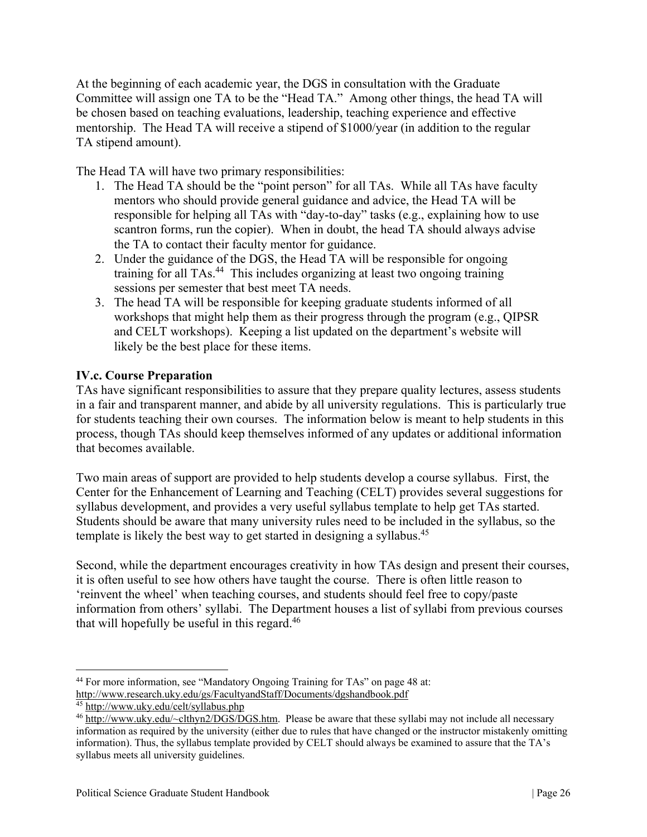At the beginning of each academic year, the DGS in consultation with the Graduate Committee will assign one TA to be the "Head TA." Among other things, the head TA will be chosen based on teaching evaluations, leadership, teaching experience and effective mentorship. The Head TA will receive a stipend of \$1000/year (in addition to the regular TA stipend amount).

The Head TA will have two primary responsibilities:

- 1. The Head TA should be the "point person" for all TAs. While all TAs have faculty mentors who should provide general guidance and advice, the Head TA will be responsible for helping all TAs with "day-to-day" tasks (e.g., explaining how to use scantron forms, run the copier). When in doubt, the head TA should always advise the TA to contact their faculty mentor for guidance.
- 2. Under the guidance of the DGS, the Head TA will be responsible for ongoing training for all TAs.44 This includes organizing at least two ongoing training sessions per semester that best meet TA needs.
- 3. The head TA will be responsible for keeping graduate students informed of all workshops that might help them as their progress through the program (e.g., QIPSR and CELT workshops). Keeping a list updated on the department's website will likely be the best place for these items.

# **IV.c. Course Preparation**

TAs have significant responsibilities to assure that they prepare quality lectures, assess students in a fair and transparent manner, and abide by all university regulations. This is particularly true for students teaching their own courses. The information below is meant to help students in this process, though TAs should keep themselves informed of any updates or additional information that becomes available.

Two main areas of support are provided to help students develop a course syllabus. First, the Center for the Enhancement of Learning and Teaching (CELT) provides several suggestions for syllabus development, and provides a very useful syllabus template to help get TAs started. Students should be aware that many university rules need to be included in the syllabus, so the template is likely the best way to get started in designing a syllabus.<sup>45</sup>

Second, while the department encourages creativity in how TAs design and present their courses, it is often useful to see how others have taught the course. There is often little reason to 'reinvent the wheel' when teaching courses, and students should feel free to copy/paste information from others' syllabi. The Department houses a list of syllabi from previous courses that will hopefully be useful in this regard. $46$ 

<sup>44</sup> For more information, see "Mandatory Ongoing Training for TAs" on page 48 at: http://www.research.uky.edu/gs/FacultyandStaff/Documents/dgshandbook.pdf 45 http://www.uky.edu/celt/syllabus.php

<sup>46</sup> http://www.uky.edu/~clthyn2/DGS/DGS.htm. Please be aware that these syllabi may not include all necessary information as required by the university (either due to rules that have changed or the instructor mistakenly omitting information). Thus, the syllabus template provided by CELT should always be examined to assure that the TA's syllabus meets all university guidelines.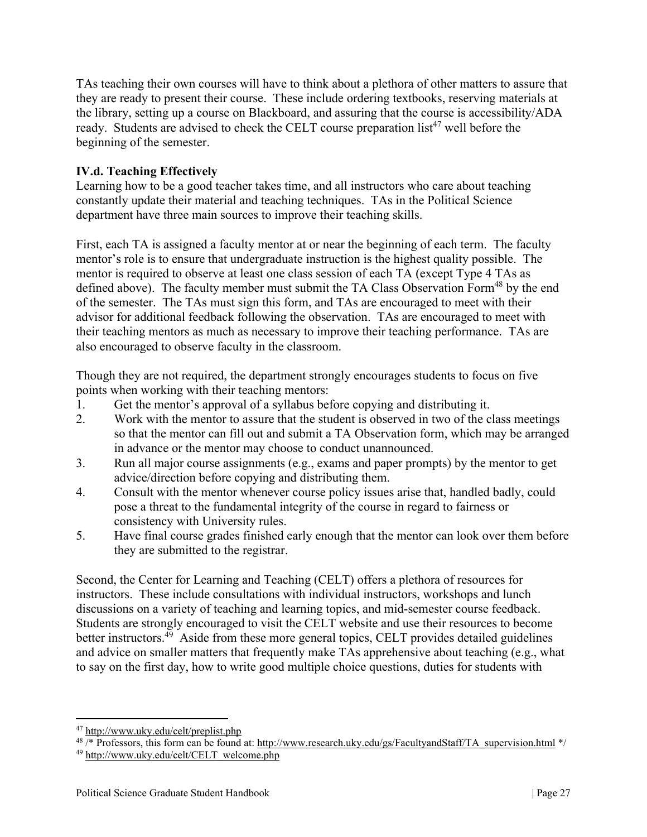TAs teaching their own courses will have to think about a plethora of other matters to assure that they are ready to present their course. These include ordering textbooks, reserving materials at the library, setting up a course on Blackboard, and assuring that the course is accessibility/ADA ready. Students are advised to check the CELT course preparation list<sup>47</sup> well before the beginning of the semester.

# **IV.d. Teaching Effectively**

Learning how to be a good teacher takes time, and all instructors who care about teaching constantly update their material and teaching techniques. TAs in the Political Science department have three main sources to improve their teaching skills.

First, each TA is assigned a faculty mentor at or near the beginning of each term. The faculty mentor's role is to ensure that undergraduate instruction is the highest quality possible. The mentor is required to observe at least one class session of each TA (except Type 4 TAs as defined above). The faculty member must submit the TA Class Observation Form<sup>48</sup> by the end of the semester. The TAs must sign this form, and TAs are encouraged to meet with their advisor for additional feedback following the observation. TAs are encouraged to meet with their teaching mentors as much as necessary to improve their teaching performance. TAs are also encouraged to observe faculty in the classroom.

Though they are not required, the department strongly encourages students to focus on five points when working with their teaching mentors:

- 1. Get the mentor's approval of a syllabus before copying and distributing it.
- 2. Work with the mentor to assure that the student is observed in two of the class meetings so that the mentor can fill out and submit a TA Observation form, which may be arranged in advance or the mentor may choose to conduct unannounced.
- 3. Run all major course assignments (e.g., exams and paper prompts) by the mentor to get advice/direction before copying and distributing them.
- 4. Consult with the mentor whenever course policy issues arise that, handled badly, could pose a threat to the fundamental integrity of the course in regard to fairness or consistency with University rules.
- 5. Have final course grades finished early enough that the mentor can look over them before they are submitted to the registrar.

Second, the Center for Learning and Teaching (CELT) offers a plethora of resources for instructors. These include consultations with individual instructors, workshops and lunch discussions on a variety of teaching and learning topics, and mid-semester course feedback. Students are strongly encouraged to visit the CELT website and use their resources to become better instructors.<sup>49</sup> Aside from these more general topics, CELT provides detailed guidelines and advice on smaller matters that frequently make TAs apprehensive about teaching (e.g., what to say on the first day, how to write good multiple choice questions, duties for students with

<sup>47</sup> http://www.uky.edu/celt/preplist.php

 $^{48}$  /\* Professors, this form can be found at: http://www.research.uky.edu/gs/FacultyandStaff/TA\_supervision.html \*/

<sup>49</sup> http://www.uky.edu/celt/CELT\_welcome.php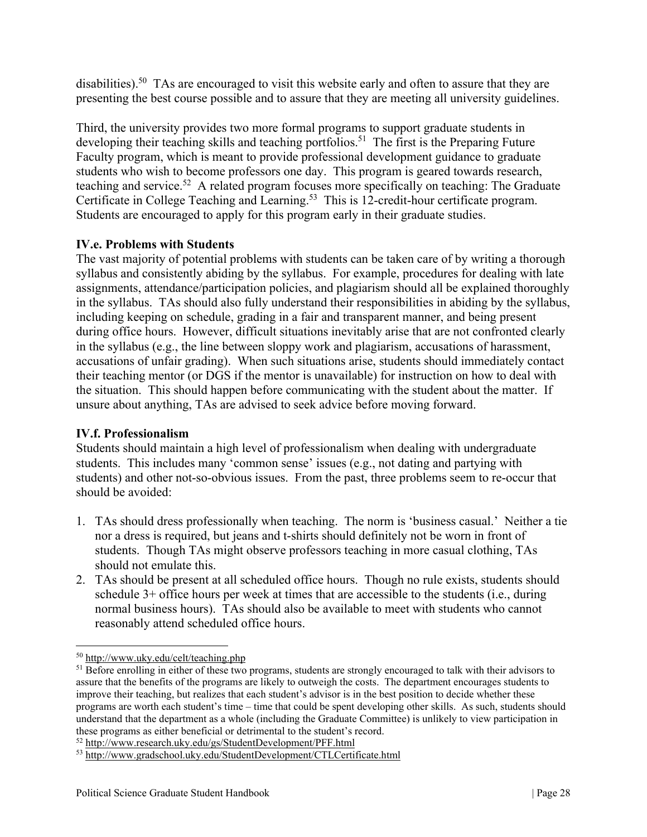disabilities).<sup>50</sup> TAs are encouraged to visit this website early and often to assure that they are presenting the best course possible and to assure that they are meeting all university guidelines.

Third, the university provides two more formal programs to support graduate students in developing their teaching skills and teaching portfolios.<sup>51</sup> The first is the Preparing Future Faculty program, which is meant to provide professional development guidance to graduate students who wish to become professors one day. This program is geared towards research, teaching and service.<sup>52</sup> A related program focuses more specifically on teaching: The Graduate Certificate in College Teaching and Learning.<sup>53</sup> This is 12-credit-hour certificate program. Students are encouraged to apply for this program early in their graduate studies.

# **IV.e. Problems with Students**

The vast majority of potential problems with students can be taken care of by writing a thorough syllabus and consistently abiding by the syllabus. For example, procedures for dealing with late assignments, attendance/participation policies, and plagiarism should all be explained thoroughly in the syllabus. TAs should also fully understand their responsibilities in abiding by the syllabus, including keeping on schedule, grading in a fair and transparent manner, and being present during office hours. However, difficult situations inevitably arise that are not confronted clearly in the syllabus (e.g., the line between sloppy work and plagiarism, accusations of harassment, accusations of unfair grading). When such situations arise, students should immediately contact their teaching mentor (or DGS if the mentor is unavailable) for instruction on how to deal with the situation. This should happen before communicating with the student about the matter. If unsure about anything, TAs are advised to seek advice before moving forward.

# **IV.f. Professionalism**

Students should maintain a high level of professionalism when dealing with undergraduate students. This includes many 'common sense' issues (e.g., not dating and partying with students) and other not-so-obvious issues. From the past, three problems seem to re-occur that should be avoided:

- 1. TAs should dress professionally when teaching. The norm is 'business casual.' Neither a tie nor a dress is required, but jeans and t-shirts should definitely not be worn in front of students. Though TAs might observe professors teaching in more casual clothing, TAs should not emulate this.
- 2. TAs should be present at all scheduled office hours. Though no rule exists, students should schedule 3+ office hours per week at times that are accessible to the students (i.e., during normal business hours). TAs should also be available to meet with students who cannot reasonably attend scheduled office hours.

<sup>50</sup> http://www.uky.edu/celt/teaching.php

<sup>&</sup>lt;sup>51</sup> Before enrolling in either of these two programs, students are strongly encouraged to talk with their advisors to assure that the benefits of the programs are likely to outweigh the costs. The department encourages students to improve their teaching, but realizes that each student's advisor is in the best position to decide whether these programs are worth each student's time – time that could be spent developing other skills. As such, students should understand that the department as a whole (including the Graduate Committee) is unlikely to view participation in

these programs as either beneficial or detrimental to the student's record.<br>
<sup>52</sup> http://www.research.uky.edu/gs/StudentDevelopment/PFF.html

<sup>53</sup> http://www.gradschool.uky.edu/StudentDevelopment/CTLCertificate.html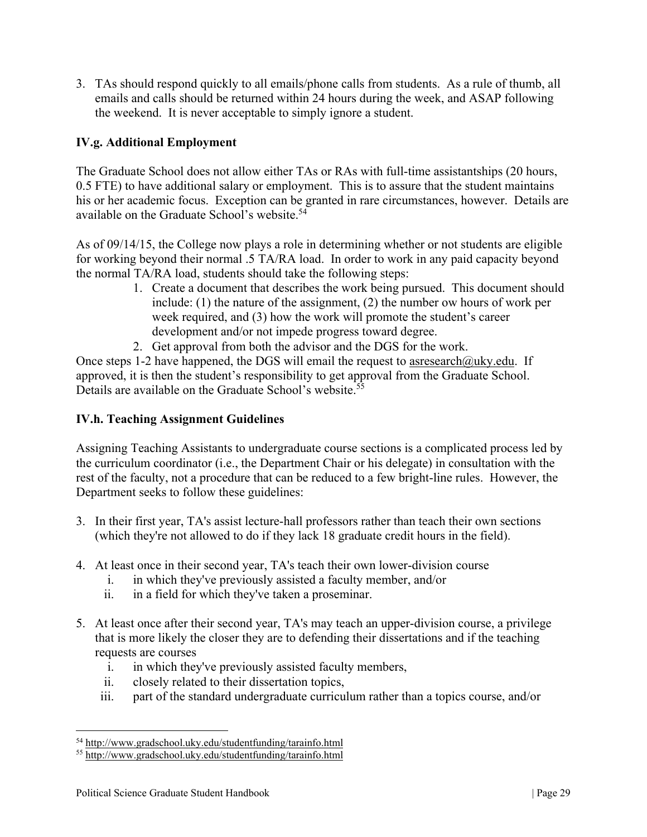3. TAs should respond quickly to all emails/phone calls from students. As a rule of thumb, all emails and calls should be returned within 24 hours during the week, and ASAP following the weekend. It is never acceptable to simply ignore a student.

# **IV.g. Additional Employment**

The Graduate School does not allow either TAs or RAs with full-time assistantships (20 hours, 0.5 FTE) to have additional salary or employment. This is to assure that the student maintains his or her academic focus. Exception can be granted in rare circumstances, however. Details are available on the Graduate School's website.<sup>54</sup>

As of 09/14/15, the College now plays a role in determining whether or not students are eligible for working beyond their normal .5 TA/RA load. In order to work in any paid capacity beyond the normal TA/RA load, students should take the following steps:

- 1. Create a document that describes the work being pursued. This document should include: (1) the nature of the assignment, (2) the number ow hours of work per week required, and (3) how the work will promote the student's career development and/or not impede progress toward degree.
- 2. Get approval from both the advisor and the DGS for the work.

Once steps 1-2 have happened, the DGS will email the request to asresearch@uky.edu. If approved, it is then the student's responsibility to get approval from the Graduate School. Details are available on the Graduate School's website.<sup>55</sup>

# **IV.h. Teaching Assignment Guidelines**

Assigning Teaching Assistants to undergraduate course sections is a complicated process led by the curriculum coordinator (i.e., the Department Chair or his delegate) in consultation with the rest of the faculty, not a procedure that can be reduced to a few bright-line rules. However, the Department seeks to follow these guidelines:

- 3. In their first year, TA's assist lecture-hall professors rather than teach their own sections (which they're not allowed to do if they lack 18 graduate credit hours in the field).
- 4. At least once in their second year, TA's teach their own lower-division course
	- i. in which they've previously assisted a faculty member, and/or
	- ii. in a field for which they've taken a proseminar.
- 5. At least once after their second year, TA's may teach an upper-division course, a privilege that is more likely the closer they are to defending their dissertations and if the teaching requests are courses
	- i. in which they've previously assisted faculty members,
	- ii. closely related to their dissertation topics,
	- iii. part of the standard undergraduate curriculum rather than a topics course, and/or

<sup>54</sup> http://www.gradschool.uky.edu/studentfunding/tarainfo.html

<sup>55</sup> http://www.gradschool.uky.edu/studentfunding/tarainfo.html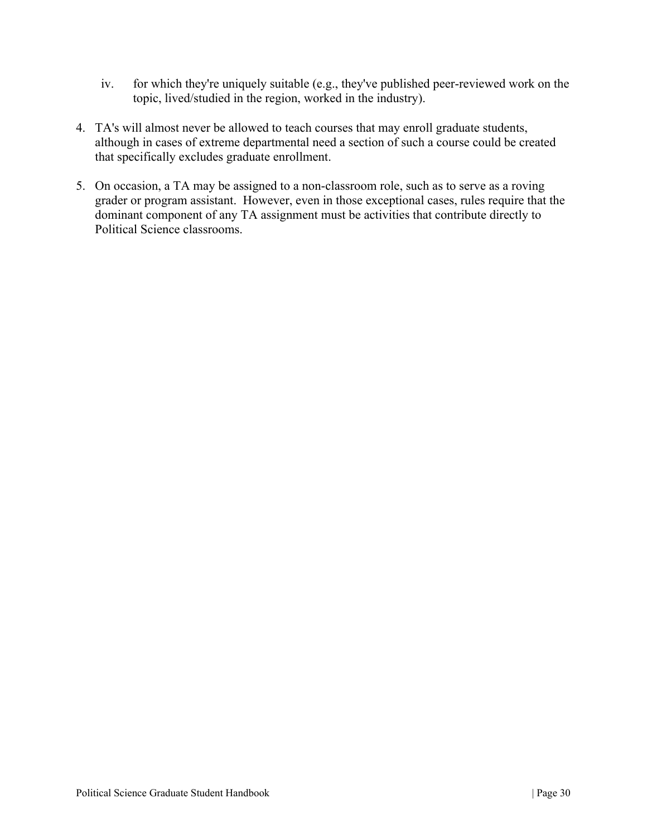- iv. for which they're uniquely suitable (e.g., they've published peer-reviewed work on the topic, lived/studied in the region, worked in the industry).
- 4. TA's will almost never be allowed to teach courses that may enroll graduate students, although in cases of extreme departmental need a section of such a course could be created that specifically excludes graduate enrollment.
- 5. On occasion, a TA may be assigned to a non-classroom role, such as to serve as a roving grader or program assistant. However, even in those exceptional cases, rules require that the dominant component of any TA assignment must be activities that contribute directly to Political Science classrooms.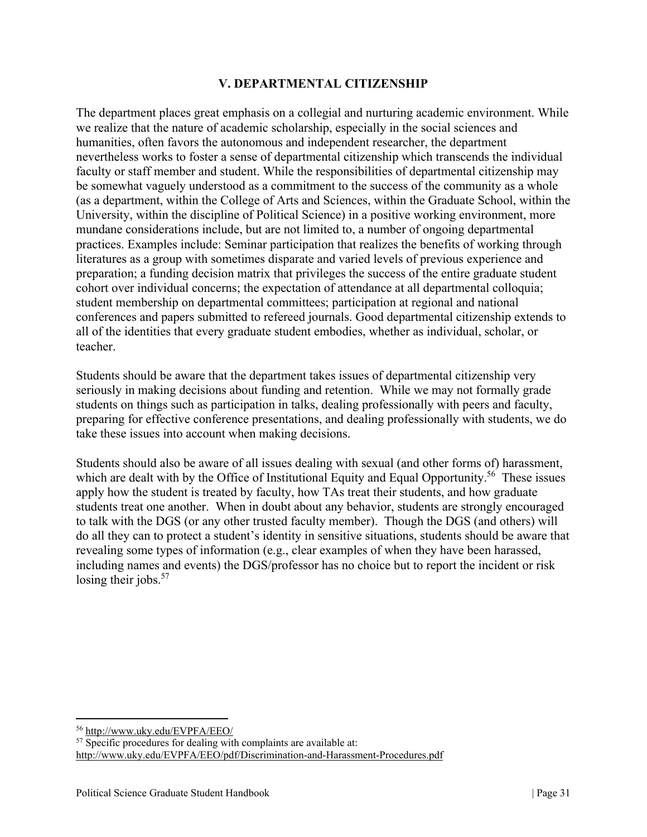### **V. DEPARTMENTAL CITIZENSHIP**

The department places great emphasis on a collegial and nurturing academic environment. While we realize that the nature of academic scholarship, especially in the social sciences and humanities, often favors the autonomous and independent researcher, the department nevertheless works to foster a sense of departmental citizenship which transcends the individual faculty or staff member and student. While the responsibilities of departmental citizenship may be somewhat vaguely understood as a commitment to the success of the community as a whole (as a department, within the College of Arts and Sciences, within the Graduate School, within the University, within the discipline of Political Science) in a positive working environment, more mundane considerations include, but are not limited to, a number of ongoing departmental practices. Examples include: Seminar participation that realizes the benefits of working through literatures as a group with sometimes disparate and varied levels of previous experience and preparation; a funding decision matrix that privileges the success of the entire graduate student cohort over individual concerns; the expectation of attendance at all departmental colloquia; student membership on departmental committees; participation at regional and national conferences and papers submitted to refereed journals. Good departmental citizenship extends to all of the identities that every graduate student embodies, whether as individual, scholar, or teacher.

Students should be aware that the department takes issues of departmental citizenship very seriously in making decisions about funding and retention. While we may not formally grade students on things such as participation in talks, dealing professionally with peers and faculty, preparing for effective conference presentations, and dealing professionally with students, we do take these issues into account when making decisions.

Students should also be aware of all issues dealing with sexual (and other forms of) harassment, which are dealt with by the Office of Institutional Equity and Equal Opportunity.<sup>56</sup> These issues apply how the student is treated by faculty, how TAs treat their students, and how graduate students treat one another. When in doubt about any behavior, students are strongly encouraged to talk with the DGS (or any other trusted faculty member). Though the DGS (and others) will do all they can to protect a student's identity in sensitive situations, students should be aware that revealing some types of information (e.g., clear examples of when they have been harassed, including names and events) the DGS/professor has no choice but to report the incident or risk losing their jobs.<sup>57</sup>

<sup>56</sup> http://www.uky.edu/EVPFA/EEO/

 $57$  Specific procedures for dealing with complaints are available at: http://www.uky.edu/EVPFA/EEO/pdf/Discrimination-and-Harassment-Procedures.pdf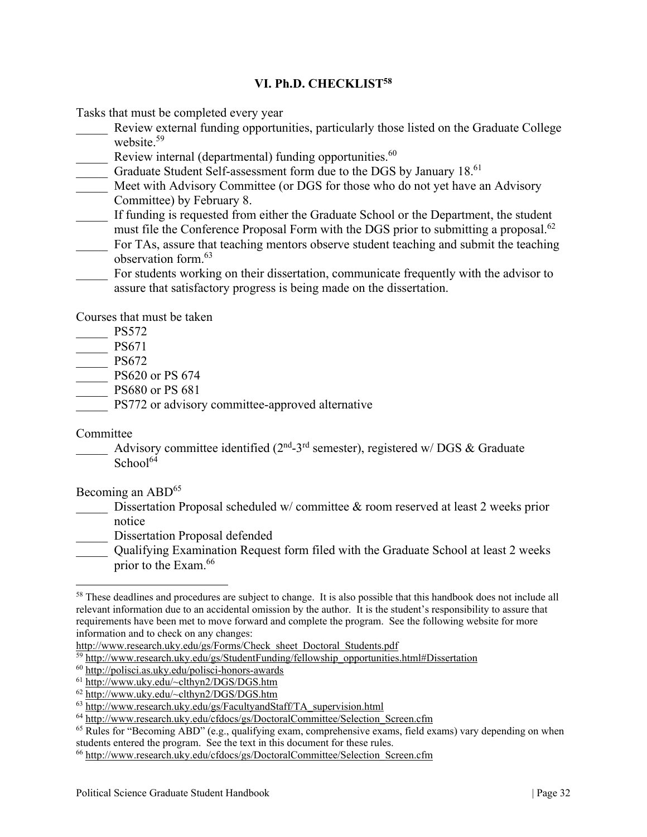### **VI. Ph.D. CHECKLIST58**

Tasks that must be completed every year

- Review external funding opportunities, particularly those listed on the Graduate College website.<sup>59</sup>
- Review internal (departmental) funding opportunities.<sup>60</sup>
- Graduate Student Self-assessment form due to the DGS by January 18.<sup>61</sup>
- Meet with Advisory Committee (or DGS for those who do not yet have an Advisory Committee) by February 8.
- If funding is requested from either the Graduate School or the Department, the student must file the Conference Proposal Form with the DGS prior to submitting a proposal.<sup>62</sup>
- For TAs, assure that teaching mentors observe student teaching and submit the teaching observation form.63
- For students working on their dissertation, communicate frequently with the advisor to assure that satisfactory progress is being made on the dissertation.

Courses that must be taken

|  |  | v |
|--|--|---|
|  |  |   |

- \_\_\_\_\_ PS671
- \_\_\_\_\_ PS672
- \_\_\_\_\_ PS620 or PS 674
- PS680 or PS 681
	- PS772 or advisory committee-approved alternative

#### Committee

Advisory committee identified ( $2<sup>nd</sup>$ -3<sup>rd</sup> semester), registered w/ DGS & Graduate School $64$ 

#### Becoming an ABD<sup>65</sup>

- Dissertation Proposal scheduled w/ committee & room reserved at least 2 weeks prior notice
	- Dissertation Proposal defended
	- \_\_\_\_\_ Qualifying Examination Request form filed with the Graduate School at least 2 weeks prior to the Exam.66

<sup>&</sup>lt;sup>58</sup> These deadlines and procedures are subject to change. It is also possible that this handbook does not include all relevant information due to an accidental omission by the author. It is the student's responsibility to assure that requirements have been met to move forward and complete the program. See the following website for more

information and to check on any changes:<br>http://www.research.uky.edu/gs/Forms/Check sheet Doctoral Students.pdf

<sup>&</sup>lt;sup>59</sup> http://www.research.uky.edu/gs/StudentFunding/fellowship\_opportunities.html#Dissertation 60 http://polisci.as.uky.edu/polisci-honors-awards

<sup>61</sup> http://www.uky.edu/~clthyn2/DGS/DGS.htm

 $\frac{62 \text{ http://www.uky.edu/~clthyn2/DGS/DGS.htm}}{63 \text{ http://www.tesearch.uky.edu/~clthyn2/DGS/DGS.htm}}$ <br> $\frac{63 \text{ http://www.tesearch.uky.edu/gs/FacultvandStaff/TA} {63 \text{ http://www.tesearch.uky.edu/gs/FacultvandStaff/TA} {63 \text{ http://www.tesearch.uky.edu/gs/FacultvandStaff/TA} {63 \text{ http://www.tesearch.uky.edu/gs/FacultvandStaff/TA} {63 \text{ http://www.tesearch.uky.edu/gs/FacultvandStaff/TA} {63 \text{ http://www.tesearch.uky.edu/gs/FacultvandStaff/$ 

 $^{64}$  http://www.research.uky.edu/cfdocs/gs/DoctoralCommittee/Selection\_Screen.cfm<br> $^{65}$  Rules for "Becoming ABD" (e.g., qualifying exam, comprehensive exams, field exams) vary depending on when students entered the program. See the text in this document for these rules.

<sup>66</sup> http://www.research.uky.edu/cfdocs/gs/DoctoralCommittee/Selection\_Screen.cfm